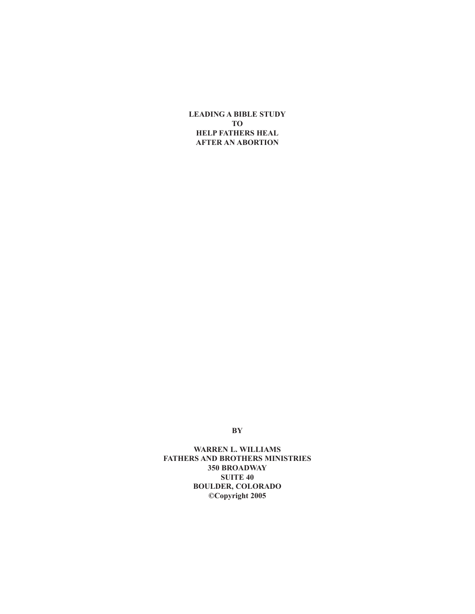**LEADING A BIBLE STUDY TO HELP FATHERS HEAL AFTER AN ABORTION**

**BY**

**WARREN L. WILLIAMS FATHERS AND BROTHERS MINISTRIES 350 BROADWAY SUITE 40 BOULDER, COLORADO ©Copyright 2005**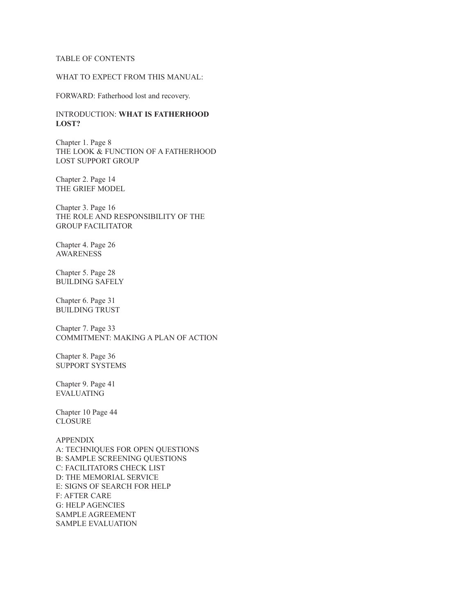#### TABLE OF CONTENTS

# WHAT TO EXPECT FROM THIS MANUAL:

FORWARD: Fatherhood lost and recovery.

INTRODUCTION: **WHAT IS FATHERHOOD LOST?**

Chapter 1. Page 8 THE LOOK & FUNCTION OF A FATHERHOOD LOST SUPPORT GROUP

Chapter 2. Page 14 THE GRIEF MODEL

Chapter 3. Page 16 THE ROLE AND RESPONSIBILITY OF THE GROUP FACILITATOR

Chapter 4. Page 26 AWARENESS

Chapter 5. Page 28 BUILDING SAFELY

Chapter 6. Page 31 BUILDING TRUST

Chapter 7. Page 33 COMMITMENT: MAKING A PLAN OF ACTION

Chapter 8. Page 36 SUPPORT SYSTEMS

Chapter 9. Page 41 EVALUATING

Chapter 10 Page 44 CLOSURE

APPENDIX A: TECHNIQUES FOR OPEN QUESTIONS B: SAMPLE SCREENING QUESTIONS C: FACILITATORS CHECK LIST D: THE MEMORIAL SERVICE E: SIGNS OF SEARCH FOR HELP F: AFTER CARE G: HELP AGENCIES SAMPLE AGREEMENT SAMPLE EVALUATION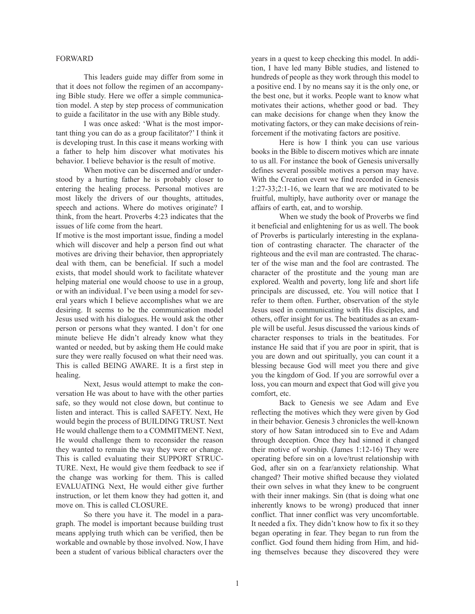#### FORWARD

This leaders guide may differ from some in that it does not follow the regimen of an accompanying Bible study. Here we offer a simple communication model. A step by step process of communication to guide a facilitator in the use with any Bible study.

I was once asked: 'What is the most important thing you can do as a group facilitator?' I think it is developing trust. In this case it means working with a father to help him discover what motivates his behavior. I believe behavior is the result of motive.

When motive can be discerned and/or understood by a hurting father he is probably closer to entering the healing process. Personal motives are most likely the drivers of our thoughts, attitudes, speech and actions. Where do motives originate? I think, from the heart. Proverbs 4:23 indicates that the issues of life come from the heart.

If motive is the most important issue, finding a model which will discover and help a person find out what motives are driving their behavior, then appropriately deal with them, can be beneficial. If such a model exists, that model should work to facilitate whatever helping material one would choose to use in a group, or with an individual. I've been using a model for several years which I believe accomplishes what we are desiring. It seems to be the communication model Jesus used with his dialogues. He would ask the other person or persons what they wanted. I don't for one minute believe He didn't already know what they wanted or needed, but by asking them He could make sure they were really focused on what their need was. This is called BEING AWARE. It is a first step in healing.

Next, Jesus would attempt to make the conversation He was about to have with the other parties safe, so they would not close down, but continue to listen and interact. This is called SAFETY. Next, He would begin the process of BUILDING TRUST. Next He would challenge them to a COMMITMENT. Next, He would challenge them to reconsider the reason they wanted to remain the way they were or change. This is called evaluating their SUPPORT STRUC-TURE. Next, He would give them feedback to see if the change was working for them. This is called EVALUATING. Next, He would either give further instruction, or let them know they had gotten it, and move on. This is called CLOSURE.

So there you have it. The model in a paragraph. The model is important because building trust means applying truth which can be verified, then be workable and ownable by those involved. Now, I have been a student of various biblical characters over the years in a quest to keep checking this model. In addition, I have led many Bible studies, and listened to hundreds of people as they work through this model to a positive end. I by no means say it is the only one, or the best one, but it works. People want to know what motivates their actions, whether good or bad. They can make decisions for change when they know the motivating factors, or they can make decisions of reinforcement if the motivating factors are positive.

Here is how I think you can use various books in the Bible to discern motives which are innate to us all. For instance the book of Genesis universally defines several possible motives a person may have. With the Creation event we find recorded in Genesis 1:27-33;2:1-16, we learn that we are motivated to be fruitful, multiply, have authority over or manage the affairs of earth, eat, and to worship.

When we study the book of Proverbs we find it beneficial and enlightening for us as well. The book of Proverbs is particularly interesting in the explanation of contrasting character. The character of the righteous and the evil man are contrasted. The character of the wise man and the fool are contrasted. The character of the prostitute and the young man are explored. Wealth and poverty, long life and short life principals are discussed, etc. You will notice that I refer to them often. Further, observation of the style Jesus used in communicating with His disciples, and others, offer insight for us. The beatitudes as an example will be useful. Jesus discussed the various kinds of character responses to trials in the beatitudes. For instance He said that if you are poor in spirit, that is you are down and out spiritually, you can count it a blessing because God will meet you there and give you the kingdom of God. If you are sorrowful over a loss, you can mourn and expect that God will give you comfort, etc.

Back to Genesis we see Adam and Eve reflecting the motives which they were given by God in their behavior. Genesis 3 chronicles the well-known story of how Satan introduced sin to Eve and Adam through deception. Once they had sinned it changed their motive of worship. (James 1:12-16) They were operating before sin on a love/trust relationship with God, after sin on a fear/anxiety relationship. What changed? Their motive shifted because they violated their own selves in what they knew to be congruent with their inner makings. Sin (that is doing what one inherently knows to be wrong) produced that inner conflict. That inner conflict was very uncomfortable. It needed a fix. They didn't know how to fix it so they began operating in fear. They began to run from the conflict. God found them hiding from Him, and hiding themselves because they discovered they were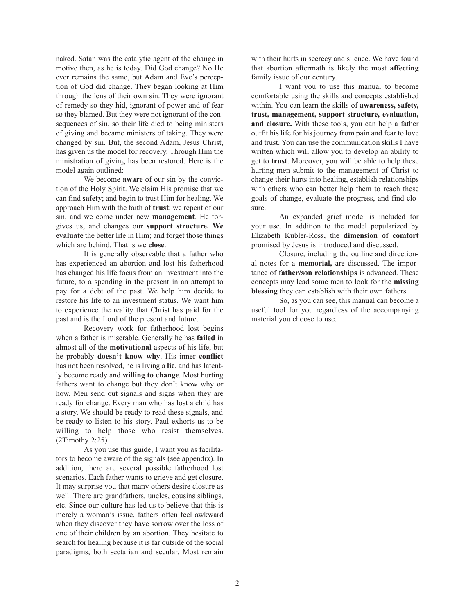naked. Satan was the catalytic agent of the change in motive then, as he is today. Did God change? No He ever remains the same, but Adam and Eve's perception of God did change. They began looking at Him through the lens of their own sin. They were ignorant of remedy so they hid, ignorant of power and of fear so they blamed. But they were not ignorant of the consequences of sin, so their life died to being ministers of giving and became ministers of taking. They were changed by sin. But, the second Adam, Jesus Christ, has given us the model for recovery. Through Him the ministration of giving has been restored. Here is the model again outlined:

We become **aware** of our sin by the conviction of the Holy Spirit. We claim His promise that we can find **safety**; and begin to trust Him for healing. We approach Him with the faith of **trust**; we repent of our sin, and we come under new **management**. He forgives us, and changes our **support structure. We evaluate** the better life in Him; and forget those things which are behind. That is we **close**.

It is generally observable that a father who has experienced an abortion and lost his fatherhood has changed his life focus from an investment into the future, to a spending in the present in an attempt to pay for a debt of the past. We help him decide to restore his life to an investment status. We want him to experience the reality that Christ has paid for the past and is the Lord of the present and future.

Recovery work for fatherhood lost begins when a father is miserable. Generally he has **failed** in almost all of the **motivational** aspects of his life, but he probably **doesn't know why**. His inner **conflict** has not been resolved, he is living a **lie**, and has latently become ready and **willing to change**. Most hurting fathers want to change but they don't know why or how. Men send out signals and signs when they are ready for change. Every man who has lost a child has a story. We should be ready to read these signals, and be ready to listen to his story. Paul exhorts us to be willing to help those who resist themselves. (2Timothy 2:25)

As you use this guide, I want you as facilitators to become aware of the signals (see appendix). In addition, there are several possible fatherhood lost scenarios. Each father wants to grieve and get closure. It may surprise you that many others desire closure as well. There are grandfathers, uncles, cousins siblings, etc. Since our culture has led us to believe that this is merely a woman's issue, fathers often feel awkward when they discover they have sorrow over the loss of one of their children by an abortion. They hesitate to search for healing because it is far outside of the social paradigms, both sectarian and secular. Most remain with their hurts in secrecy and silence. We have found that abortion aftermath is likely the most **affecting** family issue of our century.

I want you to use this manual to become comfortable using the skills and concepts established within. You can learn the skills of **awareness, safety, trust, management, support structure, evaluation, and closure.** With these tools, you can help a father outfit his life for his journey from pain and fear to love and trust. You can use the communication skills I have written which will allow you to develop an ability to get to **trust**. Moreover, you will be able to help these hurting men submit to the management of Christ to change their hurts into healing, establish relationships with others who can better help them to reach these goals of change, evaluate the progress, and find closure.

An expanded grief model is included for your use. In addition to the model popularized by Elizabeth Kubler-Ross, the **dimension of comfort** promised by Jesus is introduced and discussed.

Closure, including the outline and directional notes for a **memorial,** are discussed. The importance of **father/son relationships** is advanced. These concepts may lead some men to look for the **missing blessing** they can establish with their own fathers.

So, as you can see, this manual can become a useful tool for you regardless of the accompanying material you choose to use.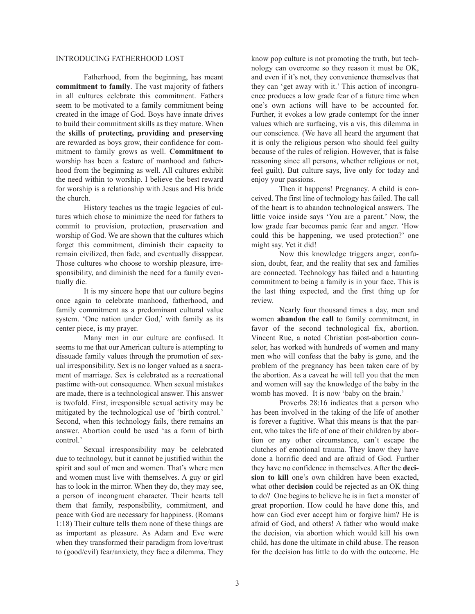#### INTRODUCING FATHERHOOD LOST

Fatherhood, from the beginning, has meant **commitment to family**. The vast majority of fathers in all cultures celebrate this commitment. Fathers seem to be motivated to a family commitment being created in the image of God. Boys have innate drives to build their commitment skills as they mature. When the **skills of protecting, providing and preserving** are rewarded as boys grow, their confidence for commitment to family grows as well. **Commitment to** worship has been a feature of manhood and fatherhood from the beginning as well. All cultures exhibit the need within to worship. I believe the best reward for worship is a relationship with Jesus and His bride the church.

History teaches us the tragic legacies of cultures which chose to minimize the need for fathers to commit to provision, protection, preservation and worship of God. We are shown that the cultures which forget this commitment, diminish their capacity to remain civilized, then fade, and eventually disappear. Those cultures who choose to worship pleasure, irresponsibility, and diminish the need for a family eventually die.

It is my sincere hope that our culture begins once again to celebrate manhood, fatherhood, and family commitment as a predominant cultural value system. 'One nation under God,' with family as its center piece, is my prayer.

Many men in our culture are confused. It seems to me that our American culture is attempting to dissuade family values through the promotion of sexual irresponsibility. Sex is no longer valued as a sacrament of marriage. Sex is celebrated as a recreational pastime with-out consequence. When sexual mistakes are made, there is a technological answer. This answer is twofold. First, irresponsible sexual activity may be mitigated by the technological use of 'birth control.' Second, when this technology fails, there remains an answer. Abortion could be used 'as a form of birth control.'

Sexual irresponsibility may be celebrated due to technology, but it cannot be justified within the spirit and soul of men and women. That's where men and women must live with themselves. A guy or girl has to look in the mirror. When they do, they may see, a person of incongruent character. Their hearts tell them that family, responsibility, commitment, and peace with God are necessary for happiness. (Romans 1:18) Their culture tells them none of these things are as important as pleasure. As Adam and Eve were when they transformed their paradigm from love/trust to (good/evil) fear/anxiety, they face a dilemma. They know pop culture is not promoting the truth, but technology can overcome so they reason it must be OK, and even if it's not, they convenience themselves that they can 'get away with it.' This action of incongruence produces a low grade fear of a future time when one's own actions will have to be accounted for. Further, it evokes a low grade contempt for the inner values which are surfacing, vis a vis, this dilemma in our conscience. (We have all heard the argument that it is only the religious person who should feel guilty because of the rules of religion. However, that is false reasoning since all persons, whether religious or not, feel guilt). But culture says, live only for today and enjoy your passions.

Then it happens! Pregnancy. A child is conceived. The first line of technology has failed. The call of the heart is to abandon technological answers. The little voice inside says 'You are a parent.' Now, the low grade fear becomes panic fear and anger. 'How could this be happening, we used protection?' one might say. Yet it did!

Now this knowledge triggers anger, confusion, doubt, fear, and the reality that sex and families are connected. Technology has failed and a haunting commitment to being a family is in your face. This is the last thing expected, and the first thing up for review.

Nearly four thousand times a day, men and women **abandon the call** to family commitment, in favor of the second technological fix, abortion. Vincent Rue, a noted Christian post-abortion counselor, has worked with hundreds of women and many men who will confess that the baby is gone, and the problem of the pregnancy has been taken care of by the abortion. As a caveat he will tell you that the men and women will say the knowledge of the baby in the womb has moved. It is now 'baby on the brain.'

Proverbs 28:16 indicates that a person who has been involved in the taking of the life of another is forever a fugitive. What this means is that the parent, who takes the life of one of their children by abortion or any other circumstance, can't escape the clutches of emotional trauma. They know they have done a horrific deed and are afraid of God. Further they have no confidence in themselves. After the **decision to kill** one's own children have been exacted, what other **decision** could be rejected as an OK thing to do? One begins to believe he is in fact a monster of great proportion. How could he have done this, and how can God ever accept him or forgive him? He is afraid of God, and others! A father who would make the decision, via abortion which would kill his own child, has done the ultimate in child abuse. The reason for the decision has little to do with the outcome. He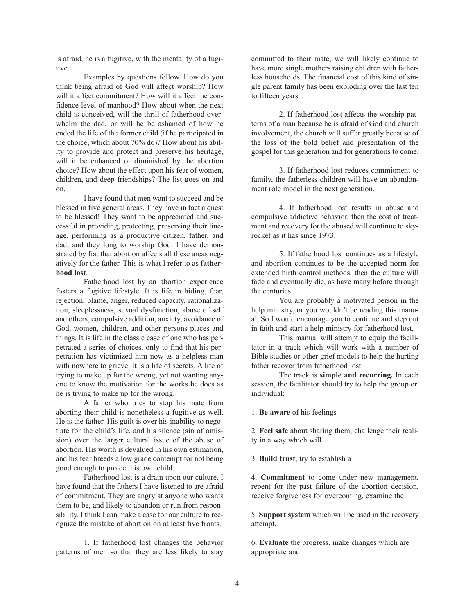is afraid, he is a fugitive, with the mentality of a fugitive.

Examples by questions follow. How do you think being afraid of God will affect worship? How will it affect commitment? How will it affect the confidence level of manhood? How about when the next child is conceived, will the thrill of fatherhood overwhelm the dad, or will he be ashamed of how he ended the life of the former child (if he participated in the choice, which about 70% do)? How about his ability to provide and protect and preserve his heritage, will it be enhanced or diminished by the abortion choice? How about the effect upon his fear of women, children, and deep friendships? The list goes on and on.

I have found that men want to succeed and be blessed in five general areas. They have in fact a quest to be blessed! They want to be appreciated and successful in providing, protecting, preserving their lineage, performing as a productive citizen, father, and dad, and they long to worship God. I have demonstrated by fiat that abortion affects all these areas negatively for the father. This is what I refer to as **fatherhood lost**.

Fatherhood lost by an abortion experience fosters a fugitive lifestyle. It is life in hiding, fear, rejection, blame, anger, reduced capacity, rationalization, sleeplessness, sexual dysfunction, abuse of self and others, compulsive addition, anxiety, avoidance of God, women, children, and other persons places and things. It is life in the classic case of one who has perpetrated a series of choices, only to find that his perpetration has victimized him now as a helpless man with nowhere to grieve. It is a life of secrets. A life of trying to make up for the wrong, yet not wanting anyone to know the motivation for the works he does as he is trying to make up for the wrong.

A father who tries to stop his mate from aborting their child is nonetheless a fugitive as well. He is the father. His guilt is over his inability to negotiate for the child's life, and his silence (sin of omission) over the larger cultural issue of the abuse of abortion. His worth is devalued in his own estimation, and his fear breeds a low grade contempt for not being good enough to protect his own child.

Fatherhood lost is a drain upon our culture. I have found that the fathers I have listened to are afraid of commitment. They are angry at anyone who wants them to be, and likely to abandon or run from responsibility. I think I can make a case for our culture to recognize the mistake of abortion on at least five fronts.

1. If fatherhood lost changes the behavior patterns of men so that they are less likely to stay committed to their mate, we will likely continue to have more single mothers raising children with fatherless households. The financial cost of this kind of single parent family has been exploding over the last ten to fifteen years.

2. If fatherhood lost affects the worship patterns of a man because he is afraid of God and church involvement, the church will suffer greatly because of the loss of the bold belief and presentation of the gospel for this generation and for generations to come.

3. If fatherhood lost reduces commitment to family, the fatherless children will have an abandonment role model in the next generation.

4. If fatherhood lost results in abuse and compulsive addictive behavior, then the cost of treatment and recovery for the abused will continue to skyrocket as it has since 1973.

5. If fatherhood lost continues as a lifestyle and abortion continues to be the accepted norm for extended birth control methods, then the culture will fade and eventually die, as have many before through the centuries.

You are probably a motivated person in the help ministry, or you wouldn't be reading this manual. So I would encourage you to continue and step out in faith and start a help ministry for fatherhood lost.

This manual will attempt to equip the facilitator in a track which will work with a number of Bible studies or other grief models to help the hurting father recover from fatherhood lost.

The track is **simple and recurring.** In each session, the facilitator should try to help the group or individual:

1. **Be aware** of his feelings

2. **Feel safe** about sharing them, challenge their reality in a way which will

3. **Build trust**, try to establish a

4. **Commitment** to come under new management, repent for the past failure of the abortion decision, receive forgiveness for overcoming, examine the

5. **Support system** which will be used in the recovery attempt,

6. **Evaluate** the progress, make changes which are appropriate and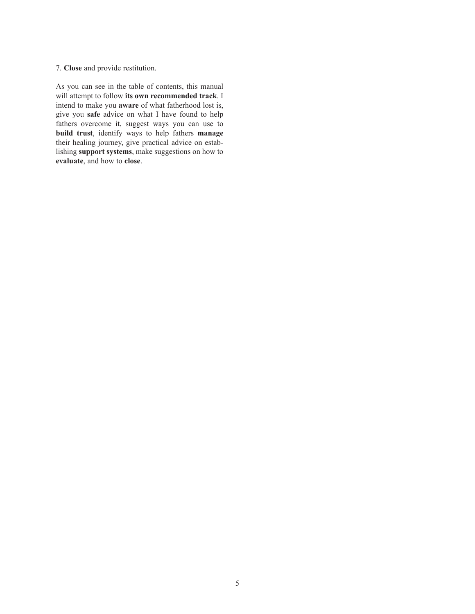## 7. **Close** and provide restitution.

As you can see in the table of contents, this manual will attempt to follow **its own recommended track**. I intend to make you **aware** of what fatherhood lost is, give you **safe** advice on what I have found to help fathers overcome it, suggest ways you can use to **build trust**, identify ways to help fathers **manage** their healing journey, give practical advice on establishing **support systems**, make suggestions on how to **evaluate**, and how to **close**.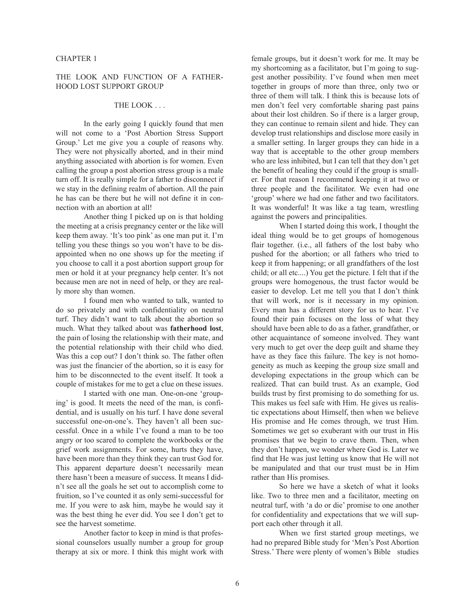#### CHAPTER 1

## THE LOOK AND FUNCTION OF A FATHER-HOOD LOST SUPPORT GROUP

# THE LOOK . . .

In the early going I quickly found that men will not come to a 'Post Abortion Stress Support Group.' Let me give you a couple of reasons why. They were not physically aborted, and in their mind anything associated with abortion is for women. Even calling the group a post abortion stress group is a male turn off. It is really simple for a father to disconnect if we stay in the defining realm of abortion. All the pain he has can be there but he will not define it in connection with an abortion at all!

Another thing I picked up on is that holding the meeting at a crisis pregnancy center or the like will keep them away. 'It's too pink' as one man put it. I'm telling you these things so you won't have to be disappointed when no one shows up for the meeting if you choose to call it a post abortion support group for men or hold it at your pregnancy help center. It's not because men are not in need of help, or they are really more shy than women.

I found men who wanted to talk, wanted to do so privately and with confidentiality on neutral turf. They didn't want to talk about the abortion so much. What they talked about was **fatherhood lost**, the pain of losing the relationship with their mate, and the potential relationship with their child who died. Was this a cop out? I don't think so. The father often was just the financier of the abortion, so it is easy for him to be disconnected to the event itself. It took a couple of mistakes for me to get a clue on these issues.

I started with one man. One-on-one 'grouping' is good. It meets the need of the man, is confidential, and is usually on his turf. I have done several successful one-on-one's. They haven't all been successful. Once in a while I've found a man to be too angry or too scared to complete the workbooks or the grief work assignments. For some, hurts they have, have been more than they think they can trust God for. This apparent departure doesn't necessarily mean there hasn't been a measure of success. It means I didn't see all the goals he set out to accomplish come to fruition, so I've counted it as only semi-successful for me. If you were to ask him, maybe he would say it was the best thing he ever did. You see I don't get to see the harvest sometime.

Another factor to keep in mind is that professional counselors usually number a group for group therapy at six or more. I think this might work with

female groups, but it doesn't work for me. It may be my shortcoming as a facilitator, but I'm going to suggest another possibility. I've found when men meet together in groups of more than three, only two or three of them will talk. I think this is because lots of men don't feel very comfortable sharing past pains about their lost children. So if there is a larger group, they can continue to remain silent and hide. They can develop trust relationships and disclose more easily in a smaller setting. In larger groups they can hide in a way that is acceptable to the other group members who are less inhibited, but I can tell that they don't get the benefit of healing they could if the group is smaller. For that reason I recommend keeping it at two or three people and the facilitator. We even had one 'group' where we had one father and two facilitators. It was wonderful! It was like a tag team, wrestling against the powers and principalities.

When I started doing this work, I thought the ideal thing would be to get groups of homogenous flair together. (i.e., all fathers of the lost baby who pushed for the abortion; or all fathers who tried to keep it from happening; or all grandfathers of the lost child; or all etc....) You get the picture. I felt that if the groups were homogenous, the trust factor would be easier to develop. Let me tell you that I don't think that will work, nor is it necessary in my opinion. Every man has a different story for us to hear. I've found their pain focuses on the loss of what they should have been able to do as a father, grandfather, or other acquaintance of someone involved. They want very much to get over the deep guilt and shame they have as they face this failure. The key is not homogeneity as much as keeping the group size small and developing expectations in the group which can be realized. That can build trust. As an example, God builds trust by first promising to do something for us. This makes us feel safe with Him. He gives us realistic expectations about Himself, then when we believe His promise and He comes through, we trust Him. Sometimes we get so exuberant with our trust in His promises that we begin to crave them. Then, when they don't happen, we wonder where God is. Later we find that He was just letting us know that He will not be manipulated and that our trust must be in Him rather than His promises.

So here we have a sketch of what it looks like. Two to three men and a facilitator, meeting on neutral turf, with 'a do or die' promise to one another for confidentiality and expectations that we will support each other through it all.

When we first started group meetings, we had no prepared Bible study for 'Men's Post Abortion Stress.' There were plenty of women's Bible studies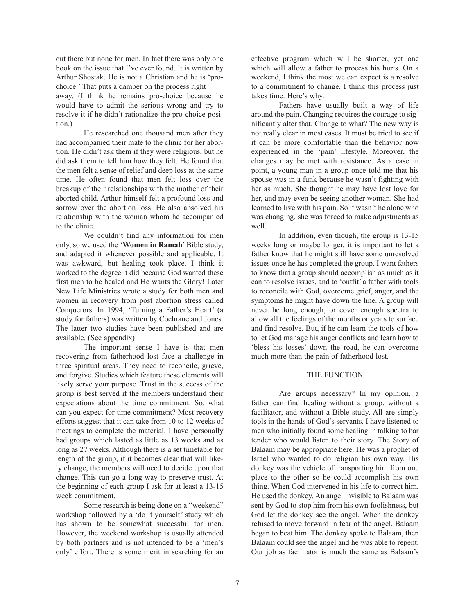out there but none for men. In fact there was only one book on the issue that I've ever found. It is written by Arthur Shostak. He is not a Christian and he is 'prochoice.' That puts a damper on the process right away. (I think he remains pro-choice because he would have to admit the serious wrong and try to resolve it if he didn't rationalize the pro-choice position.)

He researched one thousand men after they had accompanied their mate to the clinic for her abortion. He didn't ask them if they were religious, but he did ask them to tell him how they felt. He found that the men felt a sense of relief and deep loss at the same time. He often found that men felt loss over the breakup of their relationships with the mother of their aborted child. Arthur himself felt a profound loss and sorrow over the abortion loss. He also absolved his relationship with the woman whom he accompanied to the clinic.

We couldn't find any information for men only, so we used the '**Women in Ramah**' Bible study, and adapted it whenever possible and applicable. It was awkward, but healing took place. I think it worked to the degree it did because God wanted these first men to be healed and He wants the Glory! Later New Life Ministries wrote a study for both men and women in recovery from post abortion stress called Conquerors. In 1994, 'Turning a Father's Heart' (a study for fathers) was written by Cochrane and Jones. The latter two studies have been published and are available. (See appendix)

The important sense I have is that men recovering from fatherhood lost face a challenge in three spiritual areas. They need to reconcile, grieve, and forgive. Studies which feature these elements will likely serve your purpose. Trust in the success of the group is best served if the members understand their expectations about the time commitment. So, what can you expect for time commitment? Most recovery efforts suggest that it can take from 10 to 12 weeks of meetings to complete the material. I have personally had groups which lasted as little as 13 weeks and as long as 27 weeks. Although there is a set timetable for length of the group, if it becomes clear that will likely change, the members will need to decide upon that change. This can go a long way to preserve trust. At the beginning of each group I ask for at least a 13-15 week commitment.

Some research is being done on a "weekend" workshop followed by a 'do it yourself' study which has shown to be somewhat successful for men. However, the weekend workshop is usually attended by both partners and is not intended to be a 'men's only' effort. There is some merit in searching for an

effective program which will be shorter, yet one which will allow a father to process his hurts. On a weekend, I think the most we can expect is a resolve to a commitment to change. I think this process just takes time. Here's why.

Fathers have usually built a way of life around the pain. Changing requires the courage to significantly alter that. Change to what? The new way is not really clear in most cases. It must be tried to see if it can be more comfortable than the behavior now experienced in the 'pain' lifestyle. Moreover, the changes may be met with resistance. As a case in point, a young man in a group once told me that his spouse was in a funk because he wasn't fighting with her as much. She thought he may have lost love for her, and may even be seeing another woman. She had learned to live with his pain. So it wasn't he alone who was changing, she was forced to make adjustments as well

In addition, even though, the group is 13-15 weeks long or maybe longer, it is important to let a father know that he might still have some unresolved issues once he has completed the group. I want fathers to know that a group should accomplish as much as it can to resolve issues, and to 'outfit' a father with tools to reconcile with God, overcome grief, anger, and the symptoms he might have down the line. A group will never be long enough, or cover enough spectra to allow all the feelings of the months or years to surface and find resolve. But, if he can learn the tools of how to let God manage his anger conflicts and learn how to 'bless his losses' down the road, he can overcome much more than the pain of fatherhood lost.

## THE FUNCTION

Are groups necessary? In my opinion, a father can find healing without a group, without a facilitator, and without a Bible study. All are simply tools in the hands of God's servants. I have listened to men who initially found some healing in talking to bar tender who would listen to their story. The Story of Balaam may be appropriate here. He was a prophet of Israel who wanted to do religion his own way. His donkey was the vehicle of transporting him from one place to the other so he could accomplish his own thing. When God intervened in his life to correct him, He used the donkey. An angel invisible to Balaam was sent by God to stop him from his own foolishness, but God let the donkey see the angel. When the donkey refused to move forward in fear of the angel, Balaam began to beat him. The donkey spoke to Balaam, then Balaam could see the angel and he was able to repent. Our job as facilitator is much the same as Balaam's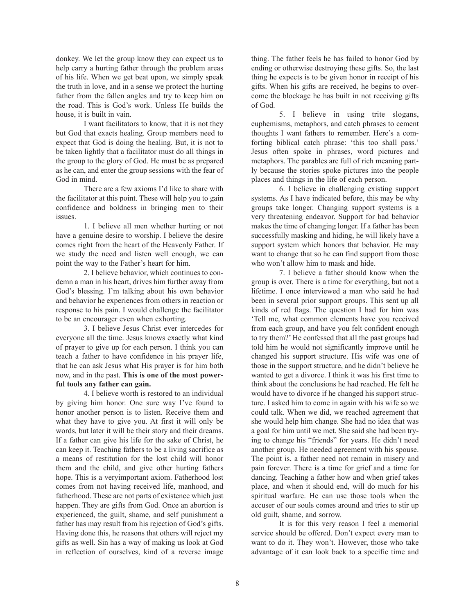donkey. We let the group know they can expect us to help carry a hurting father through the problem areas of his life. When we get beat upon, we simply speak the truth in love, and in a sense we protect the hurting father from the fallen angles and try to keep him on the road. This is God's work. Unless He builds the house, it is built in vain.

I want facilitators to know, that it is not they but God that exacts healing. Group members need to expect that God is doing the healing. But, it is not to be taken lightly that a facilitator must do all things in the group to the glory of God. He must be as prepared as he can, and enter the group sessions with the fear of God in mind.

There are a few axioms I'd like to share with the facilitator at this point. These will help you to gain confidence and boldness in bringing men to their issues.

1. I believe all men whether hurting or not have a genuine desire to worship. I believe the desire comes right from the heart of the Heavenly Father. If we study the need and listen well enough, we can point the way to the Father's heart for him.

2. I believe behavior, which continues to condemn a man in his heart, drives him further away from God's blessing. I'm talking about his own behavior and behavior he experiences from others in reaction or response to his pain. I would challenge the facilitator to be an encourager even when exhorting.

3. I believe Jesus Christ ever intercedes for everyone all the time. Jesus knows exactly what kind of prayer to give up for each person. I think you can teach a father to have confidence in his prayer life, that he can ask Jesus what His prayer is for him both now, and in the past. **This is one of the most powerful tools any father can gain.**

4. I believe worth is restored to an individual by giving him honor. One sure way I've found to honor another person is to listen. Receive them and what they have to give you. At first it will only be words, but later it will be their story and their dreams. If a father can give his life for the sake of Christ, he can keep it. Teaching fathers to be a living sacrifice as a means of restitution for the lost child will honor them and the child, and give other hurting fathers hope. This is a veryimportant axiom. Fatherhood lost comes from not having received life, manhood, and fatherhood. These are not parts of existence which just happen. They are gifts from God. Once an abortion is experienced, the guilt, shame, and self punishment a father has may result from his rejection of God's gifts. Having done this, he reasons that others will reject my gifts as well. Sin has a way of making us look at God in reflection of ourselves, kind of a reverse image thing. The father feels he has failed to honor God by ending or otherwise destroying these gifts. So, the last thing he expects is to be given honor in receipt of his gifts. When his gifts are received, he begins to overcome the blockage he has built in not receiving gifts of God.

5. I believe in using trite slogans, euphemisms, metaphors, and catch phrases to cement thoughts I want fathers to remember. Here's a comforting biblical catch phrase: 'this too shall pass.' Jesus often spoke in phrases, word pictures and metaphors. The parables are full of rich meaning partly because the stories spoke pictures into the people places and things in the life of each person.

6. I believe in challenging existing support systems. As I have indicated before, this may be why groups take longer. Changing support systems is a very threatening endeavor. Support for bad behavior makes the time of changing longer. If a father has been successfully masking and hiding, he will likely have a support system which honors that behavior. He may want to change that so he can find support from those who won't allow him to mask and hide.

7. I believe a father should know when the group is over. There is a time for everything, but not a lifetime. I once interviewed a man who said he had been in several prior support groups. This sent up all kinds of red flags. The question I had for him was 'Tell me, what common elements have you received from each group, and have you felt confident enough to try them?' He confessed that all the past groups had told him he would not significantly improve until he changed his support structure. His wife was one of those in the support structure, and he didn't believe he wanted to get a divorce. I think it was his first time to think about the conclusions he had reached. He felt he would have to divorce if he changed his support structure. I asked him to come in again with his wife so we could talk. When we did, we reached agreement that she would help him change. She had no idea that was a goal for him until we met. She said she had been trying to change his "friends" for years. He didn't need another group. He needed agreement with his spouse. The point is, a father need not remain in misery and pain forever. There is a time for grief and a time for dancing. Teaching a father how and when grief takes place, and when it should end, will do much for his spiritual warfare. He can use those tools when the accuser of our souls comes around and tries to stir up old guilt, shame, and sorrow.

It is for this very reason I feel a memorial service should be offered. Don't expect every man to want to do it. They won't. However, those who take advantage of it can look back to a specific time and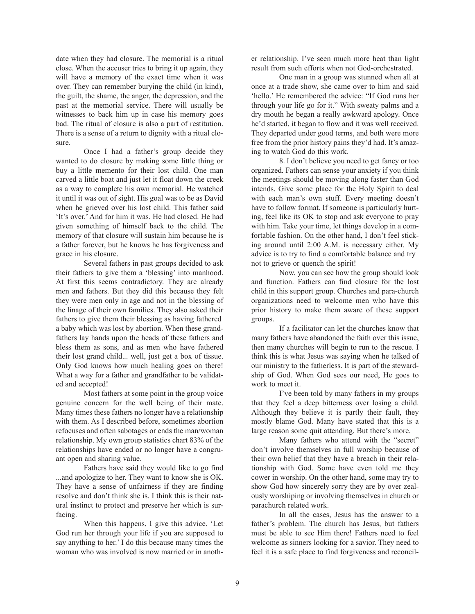date when they had closure. The memorial is a ritual close. When the accuser tries to bring it up again, they will have a memory of the exact time when it was over. They can remember burying the child (in kind), the guilt, the shame, the anger, the depression, and the past at the memorial service. There will usually be witnesses to back him up in case his memory goes bad. The ritual of closure is also a part of restitution. There is a sense of a return to dignity with a ritual closure.

Once I had a father's group decide they wanted to do closure by making some little thing or buy a little memento for their lost child. One man carved a little boat and just let it float down the creek as a way to complete his own memorial. He watched it until it was out of sight. His goal was to be as David when he grieved over his lost child. This father said 'It's over.' And for him it was. He had closed. He had given something of himself back to the child. The memory of that closure will sustain him because he is a father forever, but he knows he has forgiveness and grace in his closure.

Several fathers in past groups decided to ask their fathers to give them a 'blessing' into manhood. At first this seems contradictory. They are already men and fathers. But they did this because they felt they were men only in age and not in the blessing of the linage of their own families. They also asked their fathers to give them their blessing as having fathered a baby which was lost by abortion. When these grandfathers lay hands upon the heads of these fathers and bless them as sons, and as men who have fathered their lost grand child... well, just get a box of tissue. Only God knows how much healing goes on there! What a way for a father and grandfather to be validated and accepted!

Most fathers at some point in the group voice genuine concern for the well being of their mate. Many times these fathers no longer have a relationship with them. As I described before, sometimes abortion refocuses and often sabotages or ends the man/woman relationship. My own group statistics chart 83% of the relationships have ended or no longer have a congruant open and sharing value.

Fathers have said they would like to go find ...and apologize to her. They want to know she is OK. They have a sense of unfairness if they are finding resolve and don't think she is. I think this is their natural instinct to protect and preserve her which is surfacing.

When this happens, I give this advice. 'Let God run her through your life if you are supposed to say anything to her.' I do this because many times the woman who was involved is now married or in another relationship. I've seen much more heat than light result from such efforts when not God-orchestrated.

One man in a group was stunned when all at once at a trade show, she came over to him and said 'hello.' He remembered the advice: "If God runs her through your life go for it." With sweaty palms and a dry mouth he began a really awkward apology. Once he'd started, it began to flow and it was well received. They departed under good terms, and both were more free from the prior history pains they'd had. It's amazing to watch God do this work.

8. I don't believe you need to get fancy or too organized. Fathers can sense your anxiety if you think the meetings should be moving along faster than God intends. Give some place for the Holy Spirit to deal with each man's own stuff. Every meeting doesn't have to follow format. If someone is particularly hurting, feel like its OK to stop and ask everyone to pray with him. Take your time, let things develop in a comfortable fashion. On the other hand, I don't feel sticking around until 2:00 A.M. is necessary either. My advice is to try to find a comfortable balance and try not to grieve or quench the spirit!

Now, you can see how the group should look and function. Fathers can find closure for the lost child in this support group. Churches and para-church organizations need to welcome men who have this prior history to make them aware of these support groups.

If a facilitator can let the churches know that many fathers have abandoned the faith over this issue, then many churches will begin to run to the rescue. I think this is what Jesus was saying when he talked of our ministry to the fatherless. It is part of the stewardship of God. When God sees our need, He goes to work to meet it.

I've been told by many fathers in my groups that they feel a deep bitterness over losing a child. Although they believe it is partly their fault, they mostly blame God. Many have stated that this is a large reason some quit attending. But there's more.

Many fathers who attend with the "secret" don't involve themselves in full worship because of their own belief that they have a breach in their relationship with God. Some have even told me they cower in worship. On the other hand, some may try to show God how sincerely sorry they are by over zealously worshiping or involving themselves in church or parachurch related work.

In all the cases, Jesus has the answer to a father's problem. The church has Jesus, but fathers must be able to see Him there! Fathers need to feel welcome as sinners looking for a savior. They need to feel it is a safe place to find forgiveness and reconcil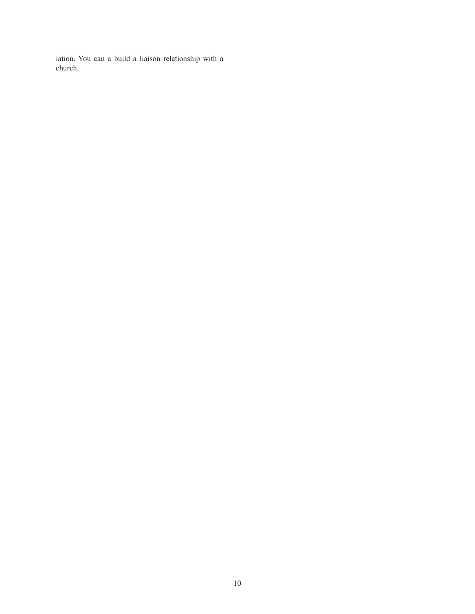iation. You can a build a liaison relationship with a church.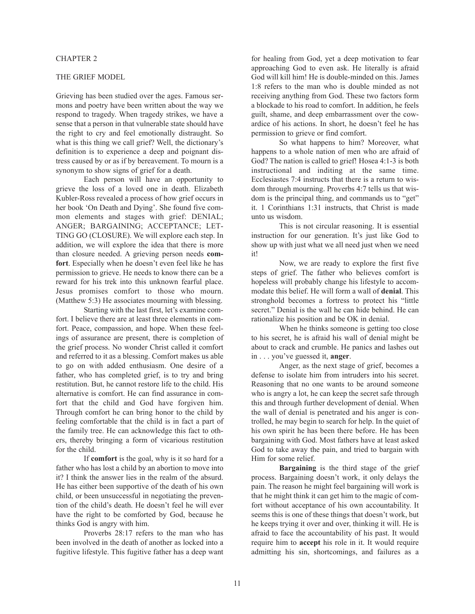### CHAPTER 2

## THE GRIEF MODEL

Grieving has been studied over the ages. Famous sermons and poetry have been written about the way we respond to tragedy. When tragedy strikes, we have a sense that a person in that vulnerable state should have the right to cry and feel emotionally distraught. So what is this thing we call grief? Well, the dictionary's definition is to experience a deep and poignant distress caused by or as if by bereavement. To mourn is a synonym to show signs of grief for a death.

Each person will have an opportunity to grieve the loss of a loved one in death. Elizabeth Kubler-Ross revealed a process of how grief occurs in her book 'On Death and Dying'. She found five common elements and stages with grief: DENIAL; ANGER; BARGAINING; ACCEPTANCE; LET-TING GO (CLOSURE). We will explore each step. In addition, we will explore the idea that there is more than closure needed. A grieving person needs **comfort**. Especially when he doesn't even feel like he has permission to grieve. He needs to know there can be a reward for his trek into this unknown fearful place. Jesus promises comfort to those who mourn. (Matthew 5:3) He associates mourning with blessing.

Starting with the last first, let's examine comfort. I believe there are at least three elements in comfort. Peace, compassion, and hope. When these feelings of assurance are present, there is completion of the grief process. No wonder Christ called it comfort and referred to it as a blessing. Comfort makes us able to go on with added enthusiasm. One desire of a father, who has completed grief, is to try and bring restitution. But, he cannot restore life to the child. His alternative is comfort. He can find assurance in comfort that the child and God have forgiven him. Through comfort he can bring honor to the child by feeling comfortable that the child is in fact a part of the family tree. He can acknowledge this fact to others, thereby bringing a form of vicarious restitution for the child.

If **comfort** is the goal, why is it so hard for a father who has lost a child by an abortion to move into it? I think the answer lies in the realm of the absurd. He has either been supportive of the death of his own child, or been unsuccessful in negotiating the prevention of the child's death. He doesn't feel he will ever have the right to be comforted by God, because he thinks God is angry with him.

Proverbs 28:17 refers to the man who has been involved in the death of another as locked into a fugitive lifestyle. This fugitive father has a deep want for healing from God, yet a deep motivation to fear approaching God to even ask. He literally is afraid God will kill him! He is double-minded on this. James 1:8 refers to the man who is double minded as not receiving anything from God. These two factors form a blockade to his road to comfort. In addition, he feels guilt, shame, and deep embarrassment over the cowardice of his actions. In short, he doesn't feel he has permission to grieve or find comfort.

So what happens to him? Moreover, what happens to a whole nation of men who are afraid of God? The nation is called to grief! Hosea 4:1-3 is both instructional and inditing at the same time. Ecclesiastes 7:4 instructs that there is a return to wisdom through mourning. Proverbs 4:7 tells us that wisdom is the principal thing, and commands us to "get" it. 1 Corinthians 1:31 instructs, that Christ is made unto us wisdom.

This is not circular reasoning. It is essential instruction for our generation. It's just like God to show up with just what we all need just when we need it!

Now, we are ready to explore the first five steps of grief. The father who believes comfort is hopeless will probably change his lifestyle to accommodate this belief. He will form a wall of **denial**. This stronghold becomes a fortress to protect his "little secret." Denial is the wall he can hide behind. He can rationalize his position and be OK in denial.

When he thinks someone is getting too close to his secret, he is afraid his wall of denial might be about to crack and crumble. He panics and lashes out in . . . you've guessed it, **anger**.

Anger, as the next stage of grief, becomes a defense to isolate him from intruders into his secret. Reasoning that no one wants to be around someone who is angry a lot, he can keep the secret safe through this and through further development of denial. When the wall of denial is penetrated and his anger is controlled, he may begin to search for help. In the quiet of his own spirit he has been there before. He has been bargaining with God. Most fathers have at least asked God to take away the pain, and tried to bargain with Him for some relief.

**Bargaining** is the third stage of the grief process. Bargaining doesn't work, it only delays the pain. The reason he might feel bargaining will work is that he might think it can get him to the magic of comfort without acceptance of his own accountability. It seems this is one of these things that doesn't work, but he keeps trying it over and over, thinking it will. He is afraid to face the accountability of his past. It would require him to **accept** his role in it. It would require admitting his sin, shortcomings, and failures as a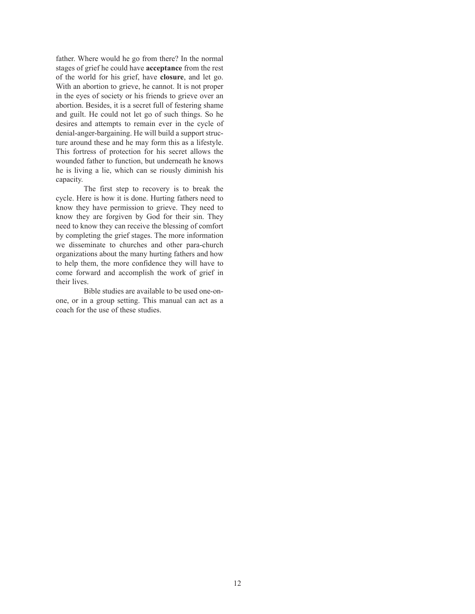father. Where would he go from there? In the normal stages of grief he could have **acceptance** from the rest of the world for his grief, have **closure**, and let go. With an abortion to grieve, he cannot. It is not proper in the eyes of society or his friends to grieve over an abortion. Besides, it is a secret full of festering shame and guilt. He could not let go of such things. So he desires and attempts to remain ever in the cycle of denial-anger-bargaining. He will build a support structure around these and he may form this as a lifestyle. This fortress of protection for his secret allows the wounded father to function, but underneath he knows he is living a lie, which can se riously diminish his capacity.

The first step to recovery is to break the cycle. Here is how it is done. Hurting fathers need to know they have permission to grieve. They need to know they are forgiven by God for their sin. They need to know they can receive the blessing of comfort by completing the grief stages. The more information we disseminate to churches and other para-church organizations about the many hurting fathers and how to help them, the more confidence they will have to come forward and accomplish the work of grief in their lives.

Bible studies are available to be used one-onone, or in a group setting. This manual can act as a coach for the use of these studies.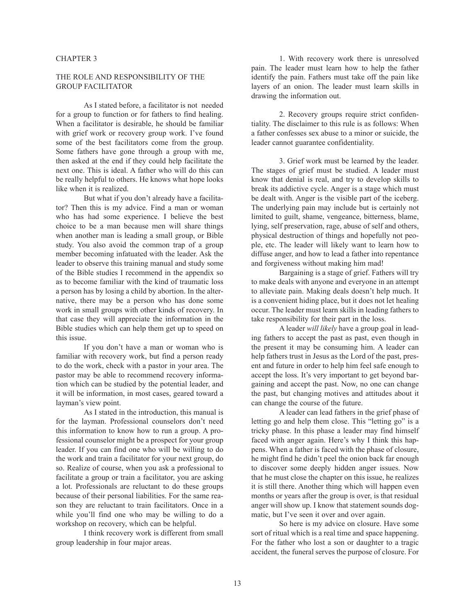### CHAPTER 3

## THE ROLE AND RESPONSIBILITY OF THE GROUP FACILITATOR

As I stated before, a facilitator is not needed for a group to function or for fathers to find healing. When a facilitator is desirable, he should be familiar with grief work or recovery group work. I've found some of the best facilitators come from the group. Some fathers have gone through a group with me, then asked at the end if they could help facilitate the next one. This is ideal. A father who will do this can be really helpful to others. He knows what hope looks like when it is realized.

But what if you don't already have a facilitator? Then this is my advice. Find a man or woman who has had some experience. I believe the best choice to be a man because men will share things when another man is leading a small group, or Bible study. You also avoid the common trap of a group member becoming infatuated with the leader. Ask the leader to observe this training manual and study some of the Bible studies I recommend in the appendix so as to become familiar with the kind of traumatic loss a person has by losing a child by abortion. In the alternative, there may be a person who has done some work in small groups with other kinds of recovery. In that case they will appreciate the information in the Bible studies which can help them get up to speed on this issue.

If you don't have a man or woman who is familiar with recovery work, but find a person ready to do the work, check with a pastor in your area. The pastor may be able to recommend recovery information which can be studied by the potential leader, and it will be information, in most cases, geared toward a layman's view point.

As I stated in the introduction, this manual is for the layman. Professional counselors don't need this information to know how to run a group. A professional counselor might be a prospect for your group leader. If you can find one who will be willing to do the work and train a facilitator for your next group, do so. Realize of course, when you ask a professional to facilitate a group or train a facilitator, you are asking a lot. Professionals are reluctant to do these groups because of their personal liabilities. For the same reason they are reluctant to train facilitators. Once in a while you'll find one who may be willing to do a workshop on recovery, which can be helpful.

I think recovery work is different from small group leadership in four major areas.

1. With recovery work there is unresolved pain. The leader must learn how to help the father identify the pain. Fathers must take off the pain like layers of an onion. The leader must learn skills in drawing the information out.

2. Recovery groups require strict confidentiality. The disclaimer to this rule is as follows: When a father confesses sex abuse to a minor or suicide, the leader cannot guarantee confidentiality.

3. Grief work must be learned by the leader. The stages of grief must be studied. A leader must know that denial is real, and try to develop skills to break its addictive cycle. Anger is a stage which must be dealt with. Anger is the visible part of the iceberg. The underlying pain may include but is certainly not limited to guilt, shame, vengeance, bitterness, blame, lying, self preservation, rage, abuse of self and others, physical destruction of things and hopefully not people, etc. The leader will likely want to learn how to diffuse anger, and how to lead a father into repentance and forgiveness without making him mad!

Bargaining is a stage of grief. Fathers will try to make deals with anyone and everyone in an attempt to alleviate pain. Making deals doesn't help much. It is a convenient hiding place, but it does not let healing occur. The leader must learn skills in leading fathers to take responsibility for their part in the loss.

A leader *will likely* have a group goal in leading fathers to accept the past as past, even though in the present it may be consuming him. A leader can help fathers trust in Jesus as the Lord of the past, present and future in order to help him feel safe enough to accept the loss. It's very important to get beyond bargaining and accept the past. Now, no one can change the past, but changing motives and attitudes about it can change the course of the future.

A leader can lead fathers in the grief phase of letting go and help them close. This "letting go" is a tricky phase. In this phase a leader may find himself faced with anger again. Here's why I think this happens. When a father is faced with the phase of closure, he might find he didn't peel the onion back far enough to discover some deeply hidden anger issues. Now that he must close the chapter on this issue, he realizes it is still there. Another thing which will happen even months or years after the group is over, is that residual anger will show up. I know that statement sounds dogmatic, but I've seen it over and over again.

So here is my advice on closure. Have some sort of ritual which is a real time and space happening. For the father who lost a son or daughter to a tragic accident, the funeral serves the purpose of closure. For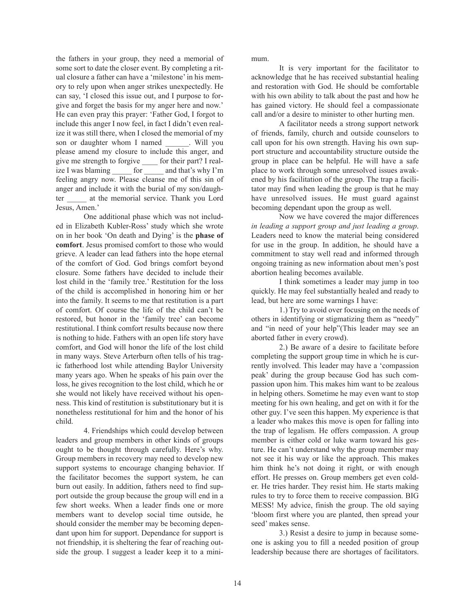the fathers in your group, they need a memorial of some sort to date the closer event. By completing a ritual closure a father can have a 'milestone' in his memory to rely upon when anger strikes unexpectedly. He can say, 'I closed this issue out, and I purpose to forgive and forget the basis for my anger here and now.' He can even pray this prayer: 'Father God, I forgot to include this anger I now feel, in fact I didn't even realize it was still there, when I closed the memorial of my son or daughter whom I named . Will you please amend my closure to include this anger, and give me strength to forgive \_\_\_\_ for their part? I realize I was blaming for and that's why I'm feeling angry now. Please cleanse me of this sin of anger and include it with the burial of my son/daughter at the memorial service. Thank you Lord Jesus, Amen.'

One additional phase which was not included in Elizabeth Kubler-Ross' study which she wrote on in her book 'On death and Dying' is the **phase of comfort**. Jesus promised comfort to those who would grieve. A leader can lead fathers into the hope eternal of the comfort of God. God brings comfort beyond closure. Some fathers have decided to include their lost child in the 'family tree.' Restitution for the loss of the child is accomplished in honoring him or her into the family. It seems to me that restitution is a part of comfort. Of course the life of the child can't be restored, but honor in the 'family tree' can become restitutional. I think comfort results because now there is nothing to hide. Fathers with an open life story have comfort, and God will honor the life of the lost child in many ways. Steve Arterburn often tells of his tragic fatherhood lost while attending Baylor University many years ago. When he speaks of his pain over the loss, he gives recognition to the lost child, which he or she would not likely have received without his openness. This kind of restitution is substitutionary but it is nonetheless restitutional for him and the honor of his child.

4. Friendships which could develop between leaders and group members in other kinds of groups ought to be thought through carefully. Here's why. Group members in recovery may need to develop new support systems to encourage changing behavior. If the facilitator becomes the support system, he can burn out easily. In addition, fathers need to find support outside the group because the group will end in a few short weeks. When a leader finds one or more members want to develop social time outside, he should consider the member may be becoming dependant upon him for support. Dependance for support is not friendship, it is sheltering the fear of reaching outside the group. I suggest a leader keep it to a minimum.

It is very important for the facilitator to acknowledge that he has received substantial healing and restoration with God. He should be comfortable with his own ability to talk about the past and how he has gained victory. He should feel a compassionate call and/or a desire to minister to other hurting men.

A facilitator needs a strong support network of friends, family, church and outside counselors to call upon for his own strength. Having his own support structure and accountability structure outside the group in place can be helpful. He will have a safe place to work through some unresolved issues awakened by his facilitation of the group. The trap a facilitator may find when leading the group is that he may have unresolved issues. He must guard against becoming dependant upon the group as well.

Now we have covered the major differences *in leading a support group and just leading a group*. Leaders need to know the material being considered for use in the group. In addition, he should have a commitment to stay well read and informed through ongoing training as new information about men's post abortion healing becomes available.

I think sometimes a leader may jump in too quickly. He may feel substantially healed and ready to lead, but here are some warnings I have:

1.) Try to avoid over focusing on the needs of others in identifying or stigmatizing them as "needy" and "in need of your help"(This leader may see an aborted father in every crowd).

2.) Be aware of a desire to facilitate before completing the support group time in which he is currently involved. This leader may have a 'compassion peak' during the group because God has such compassion upon him. This makes him want to be zealous in helping others. Sometime he may even want to stop meeting for his own healing, and get on with it for the other guy. I've seen this happen. My experience is that a leader who makes this move is open for falling into the trap of legalism. He offers compassion. A group member is either cold or luke warm toward his gesture. He can't understand why the group member may not see it his way or like the approach. This makes him think he's not doing it right, or with enough effort. He presses on. Group members get even colder. He tries harder. They resist him. He starts making rules to try to force them to receive compassion. BIG MESS! My advice, finish the group. The old saying 'bloom first where you are planted, then spread your seed' makes sense.

3.) Resist a desire to jump in because someone is asking you to fill a needed position of group leadership because there are shortages of facilitators.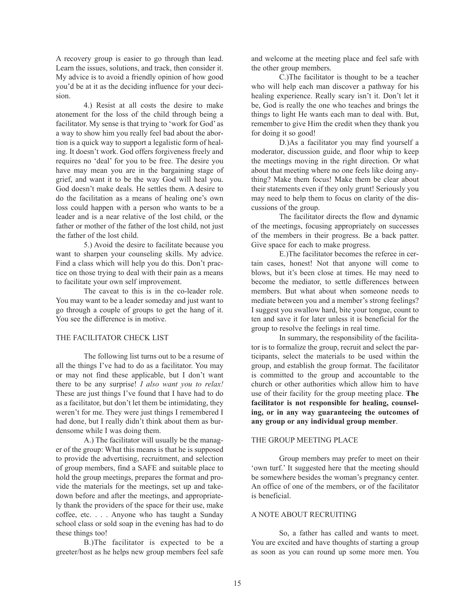A recovery group is easier to go through than lead. Learn the issues, solutions, and track, then consider it. My advice is to avoid a friendly opinion of how good you'd be at it as the deciding influence for your decision.

4.) Resist at all costs the desire to make atonement for the loss of the child through being a facilitator. My sense is that trying to 'work for God' as a way to show him you really feel bad about the abortion is a quick way to support a legalistic form of healing. It doesn't work. God offers forgiveness freely and requires no 'deal' for you to be free. The desire you have may mean you are in the bargaining stage of grief, and want it to be the way God will heal you. God doesn't make deals. He settles them. A desire to do the facilitation as a means of healing one's own loss could happen with a person who wants to be a leader and is a near relative of the lost child, or the father or mother of the father of the lost child, not just the father of the lost child.

5.) Avoid the desire to facilitate because you want to sharpen your counseling skills. My advice. Find a class which will help you do this. Don't practice on those trying to deal with their pain as a means to facilitate your own self improvement.

The caveat to this is in the co-leader role. You may want to be a leader someday and just want to go through a couple of groups to get the hang of it. You see the difference is in motive.

## THE FACILITATOR CHECK LIST

The following list turns out to be a resume of all the things I've had to do as a facilitator. You may or may not find these applicable, but I don't want there to be any surprise! *I also want you to relax!* These are just things I've found that I have had to do as a facilitator, but don't let them be intimidating, they weren't for me. They were just things I remembered I had done, but I really didn't think about them as burdensome while I was doing them.

A.) The facilitator will usually be the manager of the group: What this means is that he is supposed to provide the advertising, recruitment, and selection of group members, find a SAFE and suitable place to hold the group meetings, prepares the format and provide the materials for the meetings, set up and takedown before and after the meetings, and appropriately thank the providers of the space for their use, make coffee, etc. . . . Anyone who has taught a Sunday school class or sold soap in the evening has had to do these things too!

B.)The facilitator is expected to be a greeter/host as he helps new group members feel safe and welcome at the meeting place and feel safe with the other group members.

C.)The facilitator is thought to be a teacher who will help each man discover a pathway for his healing experience. Really scary isn't it. Don't let it be, God is really the one who teaches and brings the things to light He wants each man to deal with. But, remember to give Him the credit when they thank you for doing it so good!

D.)As a facilitator you may find yourself a moderator, discussion guide, and floor whip to keep the meetings moving in the right direction. Or what about that meeting where no one feels like doing anything? Make them focus! Make them be clear about their statements even if they only grunt! Seriously you may need to help them to focus on clarity of the discussions of the group.

The facilitator directs the flow and dynamic of the meetings, focusing appropriately on successes of the members in their progress. Be a back patter. Give space for each to make progress.

E.)The facilitator becomes the referee in certain cases, honest! Not that anyone will come to blows, but it's been close at times. He may need to become the mediator, to settle differences between members. But what about when someone needs to mediate between you and a member's strong feelings? I suggest you swallow hard, bite your tongue, count to ten and save it for later unless it is beneficial for the group to resolve the feelings in real time.

In summary, the responsibility of the facilitator is to formalize the group, recruit and select the participants, select the materials to be used within the group, and establish the group format. The facilitator is committed to the group and accountable to the church or other authorities which allow him to have use of their facility for the group meeting place. **The facilitator is not responsible for healing, counseling, or in any way guaranteeing the outcomes of any group or any individual group member**.

#### THE GROUP MEETING PLACE

Group members may prefer to meet on their 'own turf.' It suggested here that the meeting should be somewhere besides the woman's pregnancy center. An office of one of the members, or of the facilitator is beneficial.

## A NOTE ABOUT RECRUITING

So, a father has called and wants to meet. You are excited and have thoughts of starting a group as soon as you can round up some more men. You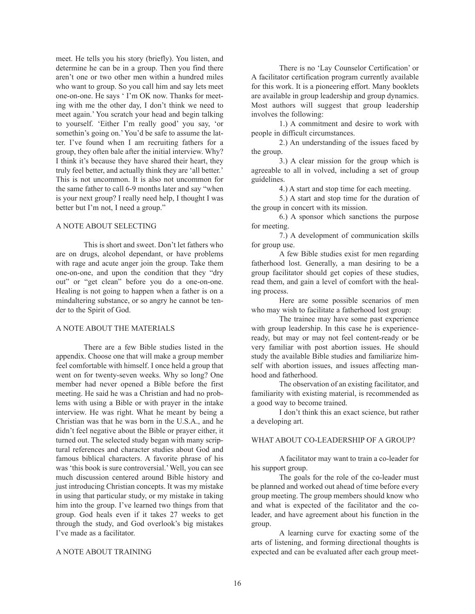meet. He tells you his story (briefly). You listen, and determine he can be in a group. Then you find there aren't one or two other men within a hundred miles who want to group. So you call him and say lets meet one-on-one. He says ' I'm OK now. Thanks for meeting with me the other day, I don't think we need to meet again.' You scratch your head and begin talking to yourself. 'Either I'm really good' you say, 'or somethin's going on.' You'd be safe to assume the latter. I've found when I am recruiting fathers for a group, they often bale after the initial interview. Why? I think it's because they have shared their heart, they truly feel better, and actually think they are 'all better.' This is not uncommon. It is also not uncommon for the same father to call 6-9 months later and say "when is your next group? I really need help, I thought I was better but I'm not, I need a group."

# A NOTE ABOUT SELECTING

This is short and sweet. Don't let fathers who are on drugs, alcohol dependant, or have problems with rage and acute anger join the group. Take them one-on-one, and upon the condition that they "dry out" or "get clean" before you do a one-on-one. Healing is not going to happen when a father is on a mindaltering substance, or so angry he cannot be tender to the Spirit of God.

### A NOTE ABOUT THE MATERIALS

There are a few Bible studies listed in the appendix. Choose one that will make a group member feel comfortable with himself. I once held a group that went on for twenty-seven weeks. Why so long? One member had never opened a Bible before the first meeting. He said he was a Christian and had no problems with using a Bible or with prayer in the intake interview. He was right. What he meant by being a Christian was that he was born in the U.S.A., and he didn't feel negative about the Bible or prayer either, it turned out. The selected study began with many scriptural references and character studies about God and famous biblical characters. A favorite phrase of his was 'this book is sure controversial.'Well, you can see much discussion centered around Bible history and just introducing Christian concepts. It was my mistake in using that particular study, or my mistake in taking him into the group. I've learned two things from that group. God heals even if it takes 27 weeks to get through the study, and God overlook's big mistakes I've made as a facilitator.

### A NOTE ABOUT TRAINING

There is no 'Lay Counselor Certification' or A facilitator certification program currently available for this work. It is a pioneering effort. Many booklets are available in group leadership and group dynamics. Most authors will suggest that group leadership involves the following:

1.) A commitment and desire to work with people in difficult circumstances.

2.) An understanding of the issues faced by the group.

3.) A clear mission for the group which is agreeable to all in volved, including a set of group guidelines.

4.) A start and stop time for each meeting.

5.) A start and stop time for the duration of the group in concert with its mission.

6.) A sponsor which sanctions the purpose for meeting.

7.) A development of communication skills for group use.

A few Bible studies exist for men regarding fatherhood lost. Generally, a man desiring to be a group facilitator should get copies of these studies, read them, and gain a level of comfort with the healing process.

Here are some possible scenarios of men who may wish to facilitate a fatherhood lost group:

The trainee may have some past experience with group leadership. In this case he is experienceready, but may or may not feel content-ready or be very familiar with post abortion issues. He should study the available Bible studies and familiarize himself with abortion issues, and issues affecting manhood and fatherhood.

The observation of an existing facilitator, and familiarity with existing material, is recommended as a good way to become trained.

I don't think this an exact science, but rather a developing art.

## WHAT ABOUT CO-LEADERSHIP OF A GROUP?

A facilitator may want to train a co-leader for his support group.

The goals for the role of the co-leader must be planned and worked out ahead of time before every group meeting. The group members should know who and what is expected of the facilitator and the coleader, and have agreement about his function in the group.

A learning curve for exacting some of the arts of listening, and forming directional thoughts is expected and can be evaluated after each group meet-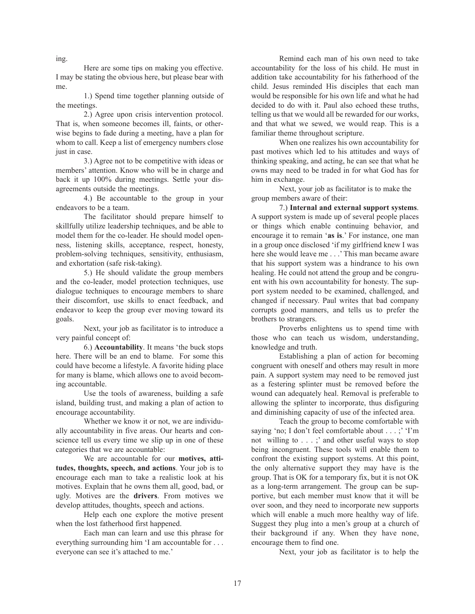Here are some tips on making you effective. I may be stating the obvious here, but please bear with me.

1.) Spend time together planning outside of the meetings.

2.) Agree upon crisis intervention protocol. That is, when someone becomes ill, faints, or otherwise begins to fade during a meeting, have a plan for whom to call. Keep a list of emergency numbers close just in case.

3.) Agree not to be competitive with ideas or members' attention. Know who will be in charge and back it up 100% during meetings. Settle your disagreements outside the meetings.

4.) Be accountable to the group in your endeavors to be a team.

The facilitator should prepare himself to skillfully utilize leadership techniques, and be able to model them for the co-leader. He should model openness, listening skills, acceptance, respect, honesty, problem-solving techniques, sensitivity, enthusiasm, and exhortation (safe risk-taking).

5.) He should validate the group members and the co-leader, model protection techniques, use dialogue techniques to encourage members to share their discomfort, use skills to enact feedback, and endeavor to keep the group ever moving toward its goals.

Next, your job as facilitator is to introduce a very painful concept of:

6.) **Accountability**. It means 'the buck stops here. There will be an end to blame. For some this could have become a lifestyle. A favorite hiding place for many is blame, which allows one to avoid becoming accountable.

Use the tools of awareness, building a safe island, building trust, and making a plan of action to encourage accountability.

Whether we know it or not, we are individually accountability in five areas. Our hearts and conscience tell us every time we slip up in one of these categories that we are accountable:

We are accountable for our **motives, attitudes, thoughts, speech, and actions**. Your job is to encourage each man to take a realistic look at his motives. Explain that he owns them all, good, bad, or ugly. Motives are the **drivers**. From motives we develop attitudes, thoughts, speech and actions.

Help each one explore the motive present when the lost fatherhood first happened.

Each man can learn and use this phrase for everything surrounding him 'I am accountable for . . . everyone can see it's attached to me.'

Remind each man of his own need to take accountability for the loss of his child. He must in addition take accountability for his fatherhood of the child. Jesus reminded His disciples that each man would be responsible for his own life and what he had decided to do with it. Paul also echoed these truths, telling us that we would all be rewarded for our works, and that what we sewed, we would reap. This is a familiar theme throughout scripture.

When one realizes his own accountability for past motives which led to his attitudes and ways of thinking speaking, and acting, he can see that what he owns may need to be traded in for what God has for him in exchange.

Next, your job as facilitator is to make the group members aware of their:

7.) **Internal and external support systems**. A support system is made up of several people places or things which enable continuing behavior, and encourage it to remain '**as is**.' For instance, one man in a group once disclosed 'if my girlfriend knew I was here she would leave me . . .' This man became aware that his support system was a hindrance to his own healing. He could not attend the group and be congruent with his own accountability for honesty. The support system needed to be examined, challenged, and changed if necessary. Paul writes that bad company corrupts good manners, and tells us to prefer the brothers to strangers.

Proverbs enlightens us to spend time with those who can teach us wisdom, understanding, knowledge and truth.

Establishing a plan of action for becoming congruent with oneself and others may result in more pain. A support system may need to be removed just as a festering splinter must be removed before the wound can adequately heal. Removal is preferable to allowing the splinter to incorporate, thus disfiguring and diminishing capacity of use of the infected area.

Teach the group to become comfortable with saying 'no; I don't feel comfortable about . . . ;' 'I'm not willing to . . . ;' and other useful ways to stop being incongruent. These tools will enable them to confront the existing support systems. At this point, the only alternative support they may have is the group. That is OK for a temporary fix, but it is not OK as a long-term arrangement. The group can be supportive, but each member must know that it will be over soon, and they need to incorporate new supports which will enable a much more healthy way of life. Suggest they plug into a men's group at a church of their background if any. When they have none, encourage them to find one.

Next, your job as facilitator is to help the

ing.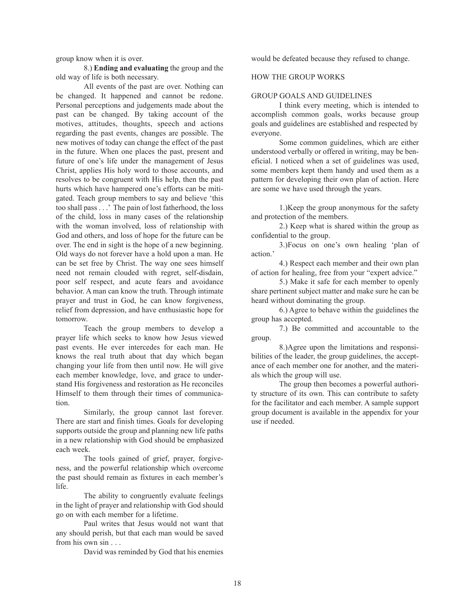group know when it is over.

8.) **Ending and evaluating** the group and the old way of life is both necessary.

All events of the past are over. Nothing can be changed. It happened and cannot be redone. Personal perceptions and judgements made about the past can be changed. By taking account of the motives, attitudes, thoughts, speech and actions regarding the past events, changes are possible. The new motives of today can change the effect of the past in the future. When one places the past, present and future of one's life under the management of Jesus Christ, applies His holy word to those accounts, and resolves to be congruent with His help, then the past hurts which have hampered one's efforts can be mitigated. Teach group members to say and believe 'this too shall pass . . .' The pain of lost fatherhood, the loss of the child, loss in many cases of the relationship with the woman involved, loss of relationship with God and others, and loss of hope for the future can be over. The end in sight is the hope of a new beginning. Old ways do not forever have a hold upon a man. He can be set free by Christ. The way one sees himself need not remain clouded with regret, self-disdain, poor self respect, and acute fears and avoidance behavior. A man can know the truth. Through intimate prayer and trust in God, he can know forgiveness, relief from depression, and have enthusiastic hope for tomorrow.

Teach the group members to develop a prayer life which seeks to know how Jesus viewed past events. He ever intercedes for each man. He knows the real truth about that day which began changing your life from then until now. He will give each member knowledge, love, and grace to understand His forgiveness and restoration as He reconciles Himself to them through their times of communication.

Similarly, the group cannot last forever. There are start and finish times. Goals for developing supports outside the group and planning new life paths in a new relationship with God should be emphasized each week.

The tools gained of grief, prayer, forgiveness, and the powerful relationship which overcome the past should remain as fixtures in each member's life.

The ability to congruently evaluate feelings in the light of prayer and relationship with God should go on with each member for a lifetime.

Paul writes that Jesus would not want that any should perish, but that each man would be saved from his own sin . . .

David was reminded by God that his enemies

would be defeated because they refused to change.

## HOW THE GROUP WORKS

### GROUP GOALS AND GUIDELINES

I think every meeting, which is intended to accomplish common goals, works because group goals and guidelines are established and respected by everyone.

Some common guidelines, which are either understood verbally or offered in writing, may be beneficial. I noticed when a set of guidelines was used, some members kept them handy and used them as a pattern for developing their own plan of action. Here are some we have used through the years.

1.)Keep the group anonymous for the safety and protection of the members.

2.) Keep what is shared within the group as confidential to the group.

3.)Focus on one's own healing 'plan of action<sup>'</sup>

4.) Respect each member and their own plan of action for healing, free from your "expert advice."

5.) Make it safe for each member to openly share pertinent subject matter and make sure he can be heard without dominating the group.

6.) Agree to behave within the guidelines the group has accepted.

7.) Be committed and accountable to the group.

8.)Agree upon the limitations and responsibilities of the leader, the group guidelines, the acceptance of each member one for another, and the materials which the group will use.

The group then becomes a powerful authority structure of its own. This can contribute to safety for the facilitator and each member. A sample support group document is available in the appendix for your use if needed.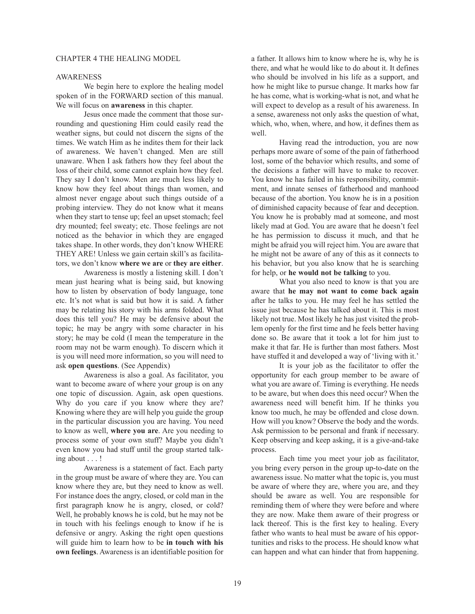#### CHAPTER 4 THE HEALING MODEL

## AWARENESS

We begin here to explore the healing model spoken of in the FORWARD section of this manual. We will focus on **awareness** in this chapter.

Jesus once made the comment that those surrounding and questioning Him could easily read the weather signs, but could not discern the signs of the times. We watch Him as he indites them for their lack of awareness. We haven't changed. Men are still unaware. When I ask fathers how they feel about the loss of their child, some cannot explain how they feel. They say I don't know. Men are much less likely to know how they feel about things than women, and almost never engage about such things outside of a probing interview. They do not know what it means when they start to tense up; feel an upset stomach; feel dry mounted; feel sweaty; etc. Those feelings are not noticed as the behavior in which they are engaged takes shape. In other words, they don't know WHERE THEY ARE! Unless we gain certain skill's as facilitators, we don't know **where we are** or **they are either**.

Awareness is mostly a listening skill. I don't mean just hearing what is being said, but knowing how to listen by observation of body language, tone etc. It's not what is said but how it is said. A father may be relating his story with his arms folded. What does this tell you? He may be defensive about the topic; he may be angry with some character in his story; he may be cold (I mean the temperature in the room may not be warm enough). To discern which it is you will need more information, so you will need to ask **open questions**. (See Appendix)

Awareness is also a goal. As facilitator, you want to become aware of where your group is on any one topic of discussion. Again, ask open questions. Why do you care if you know where they are? Knowing where they are will help you guide the group in the particular discussion you are having. You need to know as well, **where you are**. Are you needing to process some of your own stuff? Maybe you didn't even know you had stuff until the group started talking about . . . !

Awareness is a statement of fact. Each party in the group must be aware of where they are. You can know where they are, but they need to know as well. For instance does the angry, closed, or cold man in the first paragraph know he is angry, closed, or cold? Well, he probably knows he is cold, but he may not be in touch with his feelings enough to know if he is defensive or angry. Asking the right open questions will guide him to learn how to be **in touch with his own feelings**. Awareness is an identifiable position for

a father. It allows him to know where he is, why he is there, and what he would like to do about it. It defines who should be involved in his life as a support, and how he might like to pursue change. It marks how far he has come, what is working-what is not, and what he will expect to develop as a result of his awareness. In a sense, awareness not only asks the question of what, which, who, when, where, and how, it defines them as well.

Having read the introduction, you are now perhaps more aware of some of the pain of fatherhood lost, some of the behavior which results, and some of the decisions a father will have to make to recover. You know he has failed in his responsibility, commitment, and innate senses of fatherhood and manhood because of the abortion. You know he is in a position of diminished capacity because of fear and deception. You know he is probably mad at someone, and most likely mad at God. You are aware that he doesn't feel he has permission to discuss it much, and that he might be afraid you will reject him. You are aware that he might not be aware of any of this as it connects to his behavior, but you also know that he is searching for help, or **he would not be talking** to you.

What you also need to know is that you are aware that **he may not want to come back again** after he talks to you. He may feel he has settled the issue just because he has talked about it. This is most likely not true. Most likely he has just visited the problem openly for the first time and he feels better having done so. Be aware that it took a lot for him just to make it that far. He is further than most fathers. Most have stuffed it and developed a way of 'living with it.'

It is your job as the facilitator to offer the opportunity for each group member to be aware of what you are aware of. Timing is everything. He needs to be aware, but when does this need occur? When the awareness need will benefit him. If he thinks you know too much, he may be offended and close down. How will you know? Observe the body and the words. Ask permission to be personal and frank if necessary. Keep observing and keep asking, it is a give-and-take process.

Each time you meet your job as facilitator, you bring every person in the group up-to-date on the awareness issue. No matter what the topic is, you must be aware of where they are, where you are, and they should be aware as well. You are responsible for reminding them of where they were before and where they are now. Make them aware of their progress or lack thereof. This is the first key to healing. Every father who wants to heal must be aware of his opportunities and risks to the process. He should know what can happen and what can hinder that from happening.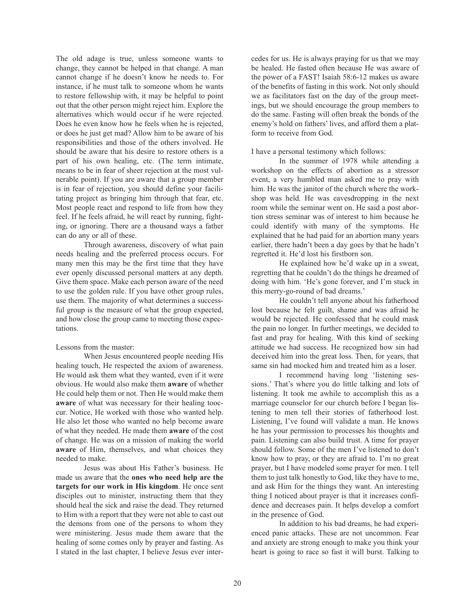The old adage is true, unless someone wants to change, they cannot be helped in that change. A man cannot change if he doesn't know he needs to. For instance, if he must talk to someone whom he wants to restore fellowship with, it may be helpful to point out that the other person might reject him. Explore the alternatives which would occur if he were rejected. Does he even know how he feels when he is rejected, or does he just get mad? Allow him to be aware of his responsibilities and those of the others involved. He should be aware that his desire to restore others is a part of his own healing, etc. (The term intimate, means to be in fear of sheer rejection at the most vulnerable point). If you are aware that a group member is in fear of rejection, you should define your facilitating project as bringing him through that fear, etc. Most people react and respond to life from how they feel. If he feels afraid, he will react by running, fighting, or ignoring. There are a thousand ways a father can do any or all of these.

Through awareness, discovery of what pain needs healing and the preferred process occurs. For many men this may be the first time that they have ever openly discussed personal matters at any depth. Give them space. Make each person aware of the need to use the golden rule. If you have other group rules, use them. The majority of what determines a successful group is the measure of what the group expected, and how close the group came to meeting those expectations.

# Lessons from the master:

When Jesus encountered people needing His healing touch, He respected the axiom of awareness. He would ask them what they wanted, even if it were obvious. He would also make them **aware** of whether He could help them or not. Then He would make them **aware** of what was necessary for their healing tooccur. Notice, He worked with those who wanted help. He also let those who wanted no help become aware of what they needed. He made them **aware** of the cost of change. He was on a mission of making the world **aware** of Him, themselves, and what choices they needed to make.

Jesus was about His Father's business. He made us aware that the **ones who need help are the targets for our work in His kingdom**. He once sent disciples out to minister, instructing them that they should heal the sick and raise the dead. They returned to Him with a report that they were not able to cast out the demons from one of the persons to whom they were ministering. Jesus made them aware that the healing of some comes only by prayer and fasting. As I stated in the last chapter, I believe Jesus ever intercedes for us. He is always praying for us that we may be healed. He fasted often because He was aware of the power of a FAST! Isaiah 58:6-12 makes us aware of the benefits of fasting in this work. Not only should we as facilitators fast on the day of the group meetings, but we should encourage the group members to do the same. Fasting will often break the bonds of the enemy's hold on fathers' lives, and afford them a platform to receive from God.

## I have a personal testimony which follows:

In the summer of 1978 while attending a workshop on the effects of abortion as a stressor event, a very humbled man asked me to pray with him. He was the janitor of the church where the workshop was held. He was eavesdropping in the next room while the seminar went on. He said a post abortion stress seminar was of interest to him because he could identify with many of the symptoms. He explained that he had paid for an abortion many years earlier, there hadn't been a day goes by that he hadn't regretted it. He'd lost his firstborn son.

He explained how he'd wake up in a sweat, regretting that he couldn't do the things he dreamed of doing with him. 'He's gone forever, and I'm stuck in this merry-go-round of bad dreams.'

He couldn't tell anyone about his fatherhood lost because he felt guilt, shame and was afraid he would be rejected. He confessed that he could mask the pain no longer. In further meetings, we decided to fast and pray for healing. With this kind of seeking attitude we had success. He recognized how sin had deceived him into the great loss. Then, for years, that same sin had mocked him and treated him as a loser.

I recommend having long 'listening sessions.' That's where you do little talking and lots of listening. It took me awhile to accomplish this as a marriage counselor for our church before I began listening to men tell their stories of fatherhood lost. Listening, I've found will validate a man. He knows he has your permission to processes his thoughts and pain. Listening can also build trust. A time for prayer should follow. Some of the men I've listened to don't know how to pray, or they are afraid to. I'm no great prayer, but I have modeled some prayer for men. I tell them to just talk honestly to God, like they have to me, and ask Him for the things they want. An interesting thing I noticed about prayer is that it increases confidence and decreases pain. It helps develop a comfort in the presence of God.

In addition to his bad dreams, he had experienced panic attacks. These are not uncommon. Fear and anxiety are strong enough to make you think your heart is going to race so fast it will burst. Talking to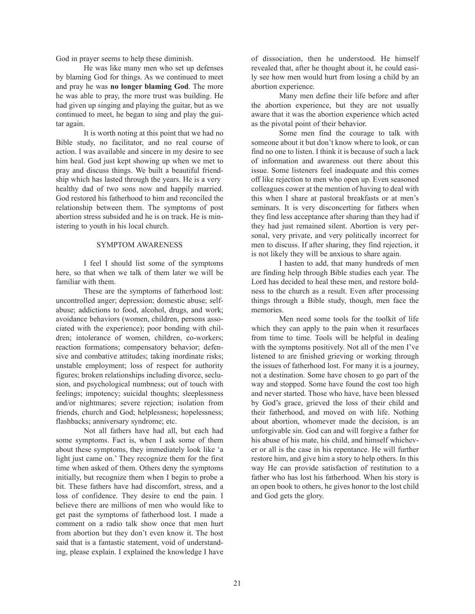God in prayer seems to help these diminish.

He was like many men who set up defenses by blaming God for things. As we continued to meet and pray he was **no longer blaming God**. The more he was able to pray, the more trust was building. He had given up singing and playing the guitar, but as we continued to meet, he began to sing and play the guitar again.

It is worth noting at this point that we had no Bible study, no facilitator, and no real course of action. I was available and sincere in my desire to see him heal. God just kept showing up when we met to pray and discuss things. We built a beautiful friendship which has lasted through the years. He is a very healthy dad of two sons now and happily married. God restored his fatherhood to him and reconciled the relationship between them. The symptoms of post abortion stress subsided and he is on track. He is ministering to youth in his local church.

### SYMPTOM AWARENESS

I feel I should list some of the symptoms here, so that when we talk of them later we will be familiar with them.

These are the symptoms of fatherhood lost: uncontrolled anger; depression; domestic abuse; selfabuse; addictions to food, alcohol, drugs, and work; avoidance behaviors (women, children, persons associated with the experience); poor bonding with children; intolerance of women, children, co-workers; reaction formations; compensatory behavior; defensive and combative attitudes; taking inordinate risks; unstable employment; loss of respect for authority figures; broken relationships including divorce, seclusion, and psychological numbness; out of touch with feelings; impotency; suicidal thoughts; sleeplessness and/or nightmares; severe rejection; isolation from friends, church and God; helplessness; hopelessness; flashbacks; anniversary syndrome; etc.

Not all fathers have had all, but each had some symptoms. Fact is, when I ask some of them about these symptoms, they immediately look like 'a light just came on.' They recognize them for the first time when asked of them. Others deny the symptoms initially, but recognize them when I begin to probe a bit. These fathers have had discomfort, stress, and a loss of confidence. They desire to end the pain. I believe there are millions of men who would like to get past the symptoms of fatherhood lost. I made a comment on a radio talk show once that men hurt from abortion but they don't even know it. The host said that is a fantastic statement, void of understanding, please explain. I explained the knowledge I have of dissociation, then he understood. He himself revealed that, after he thought about it, he could easily see how men would hurt from losing a child by an abortion experience.

Many men define their life before and after the abortion experience, but they are not usually aware that it was the abortion experience which acted as the pivotal point of their behavior.

Some men find the courage to talk with someone about it but don't know where to look, or can find no one to listen. I think it is because of such a lack of information and awareness out there about this issue. Some listeners feel inadequate and this comes off like rejection to men who open up. Even seasoned colleagues cower at the mention of having to deal with this when I share at pastoral breakfasts or at men's seminars. It is very disconcerting for fathers when they find less acceptance after sharing than they had if they had just remained silent. Abortion is very personal, very private, and very politically incorrect for men to discuss. If after sharing, they find rejection, it is not likely they will be anxious to share again.

I hasten to add, that many hundreds of men are finding help through Bible studies each year. The Lord has decided to heal these men, and restore boldness to the church as a result. Even after processing things through a Bible study, though, men face the memories.

Men need some tools for the toolkit of life which they can apply to the pain when it resurfaces from time to time. Tools will be helpful in dealing with the symptoms positively. Not all of the men I've listened to are finished grieving or working through the issues of fatherhood lost. For many it is a journey, not a destination. Some have chosen to go part of the way and stopped. Some have found the cost too high and never started. Those who have, have been blessed by God's grace, grieved the loss of their child and their fatherhood, and moved on with life. Nothing about abortion, whomever made the decision, is an unforgivable sin. God can and will forgive a father for his abuse of his mate, his child, and himself whichever or all is the case in his repentance. He will further restore him, and give him a story to help others. In this way He can provide satisfaction of restitution to a father who has lost his fatherhood. When his story is an open book to others, he gives honor to the lost child and God gets the glory.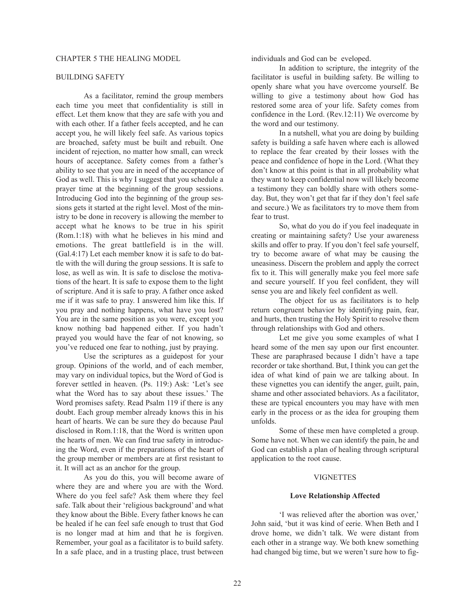### BUILDING SAFETY

As a facilitator, remind the group members each time you meet that confidentiality is still in effect. Let them know that they are safe with you and with each other. If a father feels accepted, and he can accept you, he will likely feel safe. As various topics are broached, safety must be built and rebuilt. One incident of rejection, no matter how small, can wreck hours of acceptance. Safety comes from a father's ability to see that you are in need of the acceptance of God as well. This is why I suggest that you schedule a prayer time at the beginning of the group sessions. Introducing God into the beginning of the group sessions gets it started at the right level. Most of the ministry to be done in recovery is allowing the member to accept what he knows to be true in his spirit (Rom.1:18) with what he believes in his mind and emotions. The great battlefield is in the will. (Gal.4:17) Let each member know it is safe to do battle with the will during the group sessions. It is safe to lose, as well as win. It is safe to disclose the motivations of the heart. It is safe to expose them to the light of scripture. And it is safe to pray. A father once asked me if it was safe to pray. I answered him like this. If you pray and nothing happens, what have you lost? You are in the same position as you were, except you know nothing bad happened either. If you hadn't prayed you would have the fear of not knowing, so you've reduced one fear to nothing, just by praying.

Use the scriptures as a guidepost for your group. Opinions of the world, and of each member, may vary on individual topics, but the Word of God is forever settled in heaven. (Ps. 119:) Ask: 'Let's see what the Word has to say about these issues.' The Word promises safety. Read Psalm 119 if there is any doubt. Each group member already knows this in his heart of hearts. We can be sure they do because Paul disclosed in Rom.1:18, that the Word is written upon the hearts of men. We can find true safety in introducing the Word, even if the preparations of the heart of the group member or members are at first resistant to it. It will act as an anchor for the group.

As you do this, you will become aware of where they are and where you are with the Word. Where do you feel safe? Ask them where they feel safe. Talk about their 'religious background' and what they know about the Bible. Every father knows he can be healed if he can feel safe enough to trust that God is no longer mad at him and that he is forgiven. Remember, your goal as a facilitator is to build safety. In a safe place, and in a trusting place, trust between

individuals and God can be eveloped.

In addition to scripture, the integrity of the facilitator is useful in building safety. Be willing to openly share what you have overcome yourself. Be willing to give a testimony about how God has restored some area of your life. Safety comes from confidence in the Lord. (Rev.12:11) We overcome by the word and our testimony.

In a nutshell, what you are doing by building safety is building a safe haven where each is allowed to replace the fear created by their losses with the peace and confidence of hope in the Lord. (What they don't know at this point is that in all probability what they want to keep confidential now will likely become a testimony they can boldly share with others someday. But, they won't get that far if they don't feel safe and secure.) We as facilitators try to move them from fear to trust.

So, what do you do if you feel inadequate in creating or maintaining safety? Use your awareness skills and offer to pray. If you don't feel safe yourself, try to become aware of what may be causing the uneasiness. Discern the problem and apply the correct fix to it. This will generally make you feel more safe and secure yourself. If you feel confident, they will sense you are and likely feel confident as well.

The object for us as facilitators is to help return congruent behavior by identifying pain, fear, and hurts, then trusting the Holy Spirit to resolve them through relationships with God and others.

Let me give you some examples of what I heard some of the men say upon our first encounter. These are paraphrased because I didn't have a tape recorder or take shorthand. But, I think you can get the idea of what kind of pain we are talking about. In these vignettes you can identify the anger, guilt, pain, shame and other associated behaviors. As a facilitator, these are typical encounters you may have with men early in the process or as the idea for grouping them unfolds.

Some of these men have completed a group. Some have not. When we can identify the pain, he and God can establish a plan of healing through scriptural application to the root cause.

#### **VIGNETTES**

### **Love Relationship Affected**

'I was relieved after the abortion was over,' John said, 'but it was kind of eerie. When Beth and I drove home, we didn't talk. We were distant from each other in a strange way. We both knew something had changed big time, but we weren't sure how to fig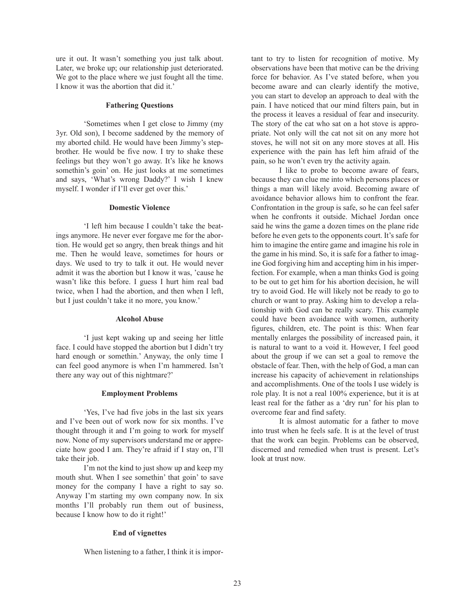ure it out. It wasn't something you just talk about. Later, we broke up; our relationship just deteriorated. We got to the place where we just fought all the time. I know it was the abortion that did it.'

#### **Fathering Questions**

'Sometimes when I get close to Jimmy (my 3yr. Old son), I become saddened by the memory of my aborted child. He would have been Jimmy's stepbrother. He would be five now. I try to shake these feelings but they won't go away. It's like he knows somethin's goin' on. He just looks at me sometimes and says, 'What's wrong Daddy?' I wish I knew myself. I wonder if I'll ever get over this.'

#### **Domestic Violence**

'I left him because I couldn't take the beatings anymore. He never ever forgave me for the abortion. He would get so angry, then break things and hit me. Then he would leave, sometimes for hours or days. We used to try to talk it out. He would never admit it was the abortion but I know it was, 'cause he wasn't like this before. I guess I hurt him real bad twice, when I had the abortion, and then when I left, but I just couldn't take it no more, you know.'

### **Alcohol Abuse**

'I just kept waking up and seeing her little face. I could have stopped the abortion but I didn't try hard enough or somethin.' Anyway, the only time I can feel good anymore is when I'm hammered. Isn't there any way out of this nightmare?'

### **Employment Problems**

'Yes, I've had five jobs in the last six years and I've been out of work now for six months. I've thought through it and I'm going to work for myself now. None of my supervisors understand me or appreciate how good I am. They're afraid if I stay on, I'll take their job.

I'm not the kind to just show up and keep my mouth shut. When I see somethin' that goin' to save money for the company I have a right to say so. Anyway I'm starting my own company now. In six months I'll probably run them out of business, because I know how to do it right!'

### **End of vignettes**

When listening to a father, I think it is impor-

tant to try to listen for recognition of motive. My observations have been that motive can be the driving force for behavior. As I've stated before, when you become aware and can clearly identify the motive, you can start to develop an approach to deal with the pain. I have noticed that our mind filters pain, but in the process it leaves a residual of fear and insecurity. The story of the cat who sat on a hot stove is appropriate. Not only will the cat not sit on any more hot stoves, he will not sit on any more stoves at all. His experience with the pain has left him afraid of the pain, so he won't even try the activity again.

I like to probe to become aware of fears, because they can clue me into which persons places or things a man will likely avoid. Becoming aware of avoidance behavior allows him to confront the fear. Confrontation in the group is safe, so he can feel safer when he confronts it outside. Michael Jordan once said he wins the game a dozen times on the plane ride before he even gets to the opponents court. It's safe for him to imagine the entire game and imagine his role in the game in his mind. So, it is safe for a father to imagine God forgiving him and accepting him in his imperfection. For example, when a man thinks God is going to be out to get him for his abortion decision, he will try to avoid God. He will likely not be ready to go to church or want to pray. Asking him to develop a relationship with God can be really scary. This example could have been avoidance with women, authority figures, children, etc. The point is this: When fear mentally enlarges the possibility of increased pain, it is natural to want to a void it. However, I feel good about the group if we can set a goal to remove the obstacle of fear. Then, with the help of God, a man can increase his capacity of achievement in relationships and accomplishments. One of the tools I use widely is role play. It is not a real 100% experience, but it is at least real for the father as a 'dry run' for his plan to overcome fear and find safety.

It is almost automatic for a father to move into trust when he feels safe. It is at the level of trust that the work can begin. Problems can be observed, discerned and remedied when trust is present. Let's look at trust now.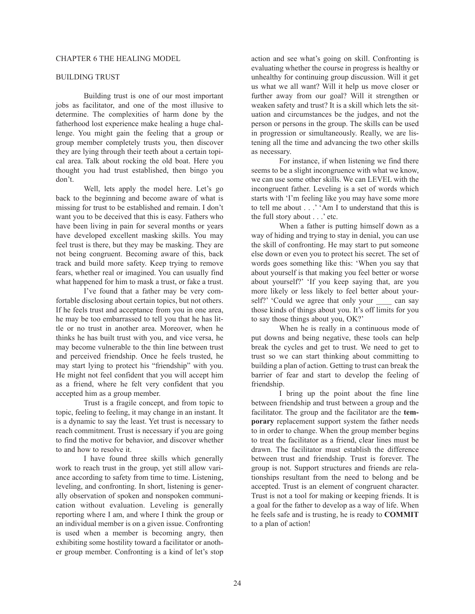## BUILDING TRUST

Building trust is one of our most important jobs as facilitator, and one of the most illusive to determine. The complexities of harm done by the fatherhood lost experience make healing a huge challenge. You might gain the feeling that a group or group member completely trusts you, then discover they are lying through their teeth about a certain topical area. Talk about rocking the old boat. Here you thought you had trust established, then bingo you don't.

Well, lets apply the model here. Let's go back to the beginning and become aware of what is missing for trust to be established and remain. I don't want you to be deceived that this is easy. Fathers who have been living in pain for several months or years have developed excellent masking skills. You may feel trust is there, but they may be masking. They are not being congruent. Becoming aware of this, back track and build more safety. Keep trying to remove fears, whether real or imagined. You can usually find what happened for him to mask a trust, or fake a trust.

I've found that a father may be very comfortable disclosing about certain topics, but not others. If he feels trust and acceptance from you in one area, he may be too embarrassed to tell you that he has little or no trust in another area. Moreover, when he thinks he has built trust with you, and vice versa, he may become vulnerable to the thin line between trust and perceived friendship. Once he feels trusted, he may start lying to protect his "friendship" with you. He might not feel confident that you will accept him as a friend, where he felt very confident that you accepted him as a group member.

Trust is a fragile concept, and from topic to topic, feeling to feeling, it may change in an instant. It is a dynamic to say the least. Yet trust is necessary to reach commitment. Trust is necessary if you are going to find the motive for behavior, and discover whether to and how to resolve it.

I have found three skills which generally work to reach trust in the group, yet still allow variance according to safety from time to time. Listening, leveling, and confronting. In short, listening is generally observation of spoken and nonspoken communication without evaluation. Leveling is generally reporting where I am, and where I think the group or an individual member is on a given issue. Confronting is used when a member is becoming angry, then exhibiting some hostility toward a facilitator or another group member. Confronting is a kind of let's stop action and see what's going on skill. Confronting is evaluating whether the course in progress is healthy or unhealthy for continuing group discussion. Will it get us what we all want? Will it help us move closer or further away from our goal? Will it strengthen or weaken safety and trust? It is a skill which lets the situation and circumstances be the judges, and not the person or persons in the group. The skills can be used in progression or simultaneously. Really, we are listening all the time and advancing the two other skills as necessary.

For instance, if when listening we find there seems to be a slight incongruence with what we know, we can use some other skills. We can LEVEL with the incongruent father. Leveling is a set of words which starts with 'I'm feeling like you may have some more to tell me about . . .' 'Am I to understand that this is the full story about . . .' etc.

When a father is putting himself down as a way of hiding and trying to stay in denial, you can use the skill of confronting. He may start to put someone else down or even you to protect his secret. The set of words goes something like this: 'When you say that about yourself is that making you feel better or worse about yourself?' 'If you keep saying that, are you more likely or less likely to feel better about yourself?' 'Could we agree that only your can say those kinds of things about you. It's off limits for you to say those things about you, OK?'

When he is really in a continuous mode of put downs and being negative, these tools can help break the cycles and get to trust. We need to get to trust so we can start thinking about committing to building a plan of action. Getting to trust can break the barrier of fear and start to develop the feeling of friendship.

I bring up the point about the fine line between friendship and trust between a group and the facilitator. The group and the facilitator are the **temporary** replacement support system the father needs to in order to change. When the group member begins to treat the facilitator as a friend, clear lines must be drawn. The facilitator must establish the difference between trust and friendship. Trust is forever. The group is not. Support structures and friends are relationships resultant from the need to belong and be accepted. Trust is an element of congruent character. Trust is not a tool for making or keeping friends. It is a goal for the father to develop as a way of life. When he feels safe and is trusting, he is ready to **COMMIT** to a plan of action!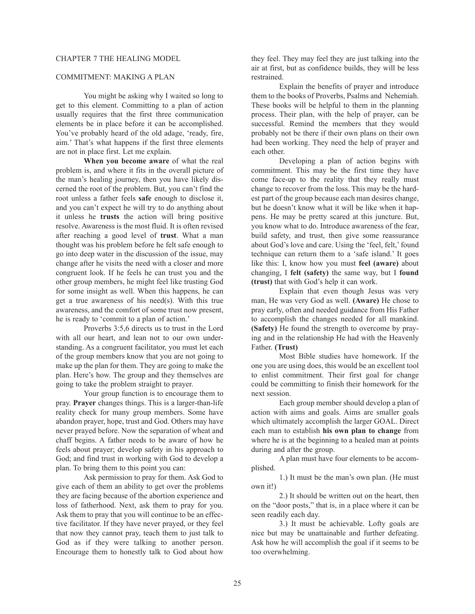#### CHAPTER 7 THE HEALING MODEL

## COMMITMENT: MAKING A PLAN

You might be asking why I waited so long to get to this element. Committing to a plan of action usually requires that the first three communication elements be in place before it can be accomplished. You've probably heard of the old adage, 'ready, fire, aim.' That's what happens if the first three elements are not in place first. Let me explain.

**When you become aware** of what the real problem is, and where it fits in the overall picture of the man's healing journey, then you have likely discerned the root of the problem. But, you can't find the root unless a father feels **safe** enough to disclose it, and you can't expect he will try to do anything about it unless he **trusts** the action will bring positive resolve. Awareness is the most fluid. It is often revised after reaching a good level of **trust**. What a man thought was his problem before he felt safe enough to go into deep water in the discussion of the issue, may change after he visits the need with a closer and more congruent look. If he feels he can trust you and the other group members, he might feel like trusting God for some insight as well. When this happens, he can get a true awareness of his need(s). With this true awareness, and the comfort of some trust now present, he is ready to 'commit to a plan of action.'

Proverbs 3:5,6 directs us to trust in the Lord with all our heart, and lean not to our own understanding. As a congruent facilitator, you must let each of the group members know that you are not going to make up the plan for them. They are going to make the plan. Here's how. The group and they themselves are going to take the problem straight to prayer.

Your group function is to encourage them to pray. **Prayer** changes things. This is a larger-than-life reality check for many group members. Some have abandon prayer, hope, trust and God. Others may have never prayed before. Now the separation of wheat and chaff begins. A father needs to be aware of how he feels about prayer; develop safety in his approach to God; and find trust in working with God to develop a plan. To bring them to this point you can:

Ask permission to pray for them. Ask God to give each of them an ability to get over the problems they are facing because of the abortion experience and loss of fatherhood. Next, ask them to pray for you. Ask them to pray that you will continue to be an effective facilitator. If they have never prayed, or they feel that now they cannot pray, teach them to just talk to God as if they were talking to another person. Encourage them to honestly talk to God about how

they feel. They may feel they are just talking into the air at first, but as confidence builds, they will be less restrained.

Explain the benefits of prayer and introduce them to the books of Proverbs, Psalms and Nehemiah. These books will be helpful to them in the planning process. Their plan, with the help of prayer, can be successful. Remind the members that they would probably not be there if their own plans on their own had been working. They need the help of prayer and each other.

Developing a plan of action begins with commitment. This may be the first time they have come face-up to the reality that they really must change to recover from the loss. This may be the hardest part of the group because each man desires change, but he doesn't know what it will be like when it happens. He may be pretty scared at this juncture. But, you know what to do. Introduce awareness of the fear, build safety, and trust, then give some reassurance about God's love and care. Using the 'feel, felt,' found technique can return them to a 'safe island.' It goes like this: I, know how you must **feel (aware)** about changing, I **felt (safety)** the same way, but I **found (trust)** that with God's help it can work.

Explain that even though Jesus was very man, He was very God as well. **(Aware)** He chose to pray early, often and needed guidance from His Father to accomplish the changes needed for all mankind. **(Safety)** He found the strength to overcome by praying and in the relationship He had with the Heavenly Father. **(Trust)**

Most Bible studies have homework. If the one you are using does, this would be an excellent tool to enlist commitment. Their first goal for change could be committing to finish their homework for the next session.

Each group member should develop a plan of action with aims and goals. Aims are smaller goals which ultimately accomplish the larger GOAL. Direct each man to establish **his own plan to change** from where he is at the beginning to a healed man at points during and after the group.

A plan must have four elements to be accomplished.

1.) It must be the man's own plan. (He must own it!)

2.) It should be written out on the heart, then on the "door posts," that is, in a place where it can be seen readily each day.

3.) It must be achievable. Lofty goals are nice but may be unattainable and further defeating. Ask how he will accomplish the goal if it seems to be too overwhelming.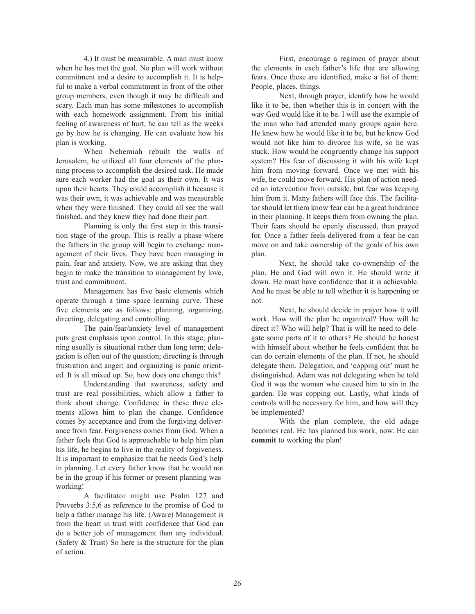4.) It must be measurable. A man must know when he has met the goal. No plan will work without commitment and a desire to accomplish it. It is helpful to make a verbal commitment in front of the other group members, even though it may be difficult and scary. Each man has some milestones to accomplish with each homework assignment. From his initial feeling of awareness of hurt, he can tell as the weeks go by how he is changing. He can evaluate how his plan is working.

When Nehemiah rebuilt the walls of Jerusalem, he utilized all four elements of the planning process to accomplish the desired task. He made sure each worker had the goal as their own. It was upon their hearts. They could accomplish it because it was their own, it was achievable and was measurable when they were finished. They could all see the wall finished, and they knew they had done their part.

Planning is only the first step in this transition stage of the group. This is really a phase where the fathers in the group will begin to exchange management of their lives. They have been managing in pain, fear and anxiety. Now, we are asking that they begin to make the transition to management by love, trust and commitment.

Management has five basic elements which operate through a time space learning curve. These five elements are as follows: planning, organizing, directing, delegating and controlling.

The pain/fear/anxiety level of management puts great emphasis upon control. In this stage, planning usually is situational rather than long term; delegation is often out of the question; directing is through frustration and anger; and organizing is panic oriented. It is all mixed up. So, how does one change this?

Understanding that awareness, safety and trust are real possibilities, which allow a father to think about change. Confidence in these three elements allows him to plan the change. Confidence comes by acceptance and from the forgiving deliverance from fear. Forgiveness comes from God. When a father feels that God is approachable to help him plan his life, he begins to live in the reality of forgiveness. It is important to emphasize that he needs God's help in planning. Let every father know that he would not be in the group if his former or present planning was working!

A facilitator might use Psalm 127 and Proverbs 3:5,6 as reference to the promise of God to help a father manage his life. (Aware) Management is from the heart in trust with confidence that God can do a better job of management than any individual. (Safety & Trust) So here is the structure for the plan of action.

First, encourage a regimen of prayer about the elements in each father's life that are allowing fears. Once these are identified, make a list of them: People, places, things.

Next, through prayer, identify how he would like it to be, then whether this is in concert with the way God would like it to be. I will use the example of the man who had attended many groups again here. He knew how he would like it to be, but he knew God would not like him to divorce his wife, so he was stuck. How would he congruently change his support system? His fear of discussing it with his wife kept him from moving forward. Once we met with his wife, he could move forward. His plan of action needed an intervention from outside, but fear was keeping him from it. Many fathers will face this. The facilitator should let them know fear can be a great hindrance in their planning. It keeps them from owning the plan. Their fears should be openly discussed, then prayed for. Once a father feels delivered from a fear he can move on and take ownership of the goals of his own plan.

Next, he should take co-ownership of the plan. He and God will own it. He should write it down. He must have confidence that it is achievable. And he must be able to tell whether it is happening or not.

Next, he should decide in prayer how it will work. How will the plan be organized? How will he direct it? Who will help? That is will he need to delegate some parts of it to others? He should be honest with himself about whether he feels confident that he can do certain elements of the plan. If not, he should delegate them. Delegation, and 'copping out' must be distinguished. Adam was not delegating when he told God it was the woman who caused him to sin in the garden. He was copping out. Lastly, what kinds of controls will be necessary for him, and how will they be implemented?

With the plan complete, the old adage becomes real. He has planned his work, now. He can **commit** to working the plan!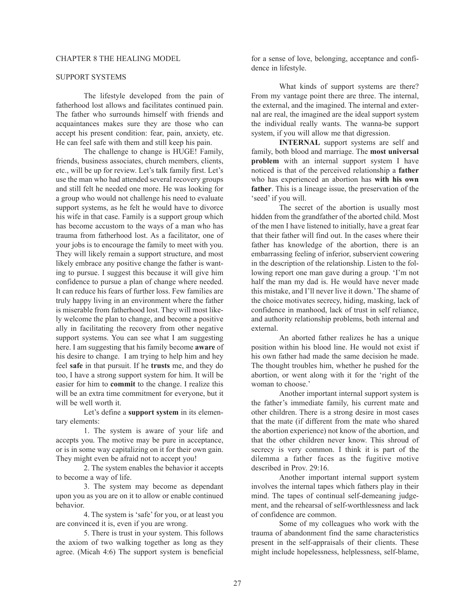## SUPPORT SYSTEMS

The lifestyle developed from the pain of fatherhood lost allows and facilitates continued pain. The father who surrounds himself with friends and acquaintances makes sure they are those who can accept his present condition: fear, pain, anxiety, etc. He can feel safe with them and still keep his pain.

The challenge to change is HUGE! Family, friends, business associates, church members, clients, etc., will be up for review. Let's talk family first. Let's use the man who had attended several recovery groups and still felt he needed one more. He was looking for a group who would not challenge his need to evaluate support systems, as he felt he would have to divorce his wife in that case. Family is a support group which has become accustom to the ways of a man who has trauma from fatherhood lost. As a facilitator, one of your jobs is to encourage the family to meet with you. They will likely remain a support structure, and most likely embrace any positive change the father is wanting to pursue. I suggest this because it will give him confidence to pursue a plan of change where needed. It can reduce his fears of further loss. Few families are truly happy living in an environment where the father is miserable from fatherhood lost. They will most likely welcome the plan to change, and become a positive ally in facilitating the recovery from other negative support systems. You can see what I am suggesting here. I am suggesting that his family become **aware** of his desire to change. I am trying to help him and hey feel **safe** in that pursuit. If he **trusts** me, and they do too, I have a strong support system for him. It will be easier for him to **commit** to the change. I realize this will be an extra time commitment for everyone, but it will be well worth it.

Let's define a **support system** in its elementary elements:

1. The system is aware of your life and accepts you. The motive may be pure in acceptance, or is in some way capitalizing on it for their own gain. They might even be afraid not to accept you!

2. The system enables the behavior it accepts to become a way of life.

3. The system may become as dependant upon you as you are on it to allow or enable continued behavior.

4. The system is 'safe' for you, or at least you are convinced it is, even if you are wrong.

5. There is trust in your system. This follows the axiom of two walking together as long as they agree. (Micah 4:6) The support system is beneficial

for a sense of love, belonging, acceptance and confidence in lifestyle.

What kinds of support systems are there? From my vantage point there are three. The internal, the external, and the imagined. The internal and external are real, the imagined are the ideal support system the individual really wants. The wanna-be support system, if you will allow me that digression.

**INTERNAL** support systems are self and family, both blood and marriage. The **most universal problem** with an internal support system I have noticed is that of the perceived relationship a **father** who has experienced an abortion has **with his own father**. This is a lineage issue, the preservation of the 'seed' if you will.

The secret of the abortion is usually most hidden from the grandfather of the aborted child. Most of the men I have listened to initially, have a great fear that their father will find out. In the cases where their father has knowledge of the abortion, there is an embarrassing feeling of inferior, subservient cowering in the description of the relationship. Listen to the following report one man gave during a group. 'I'm not half the man my dad is. He would have never made this mistake, and I'll never live it down.' The shame of the choice motivates secrecy, hiding, masking, lack of confidence in manhood, lack of trust in self reliance, and authority relationship problems, both internal and external.

An aborted father realizes he has a unique position within his blood line. He would not exist if his own father had made the same decision he made. The thought troubles him, whether he pushed for the abortion, or went along with it for the 'right of the woman to choose.'

Another important internal support system is the father's immediate family, his current mate and other children. There is a strong desire in most cases that the mate (if different from the mate who shared the abortion experience) not know of the abortion, and that the other children never know. This shroud of secrecy is very common. I think it is part of the dilemma a father faces as the fugitive motive described in Prov. 29:16.

Another important internal support system involves the internal tapes which fathers play in their mind. The tapes of continual self-demeaning judgement, and the rehearsal of self-worthlessness and lack of confidence are common.

Some of my colleagues who work with the trauma of abandonment find the same characteristics present in the self-appraisals of their clients. These might include hopelessness, helplessness, self-blame,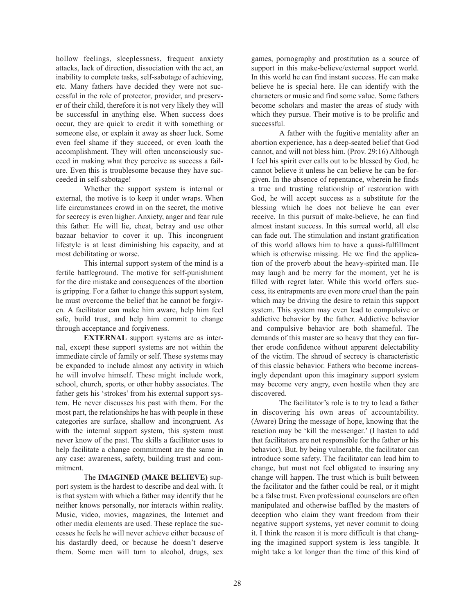hollow feelings, sleeplessness, frequent anxiety attacks, lack of direction, dissociation with the act, an inability to complete tasks, self-sabotage of achieving, etc. Many fathers have decided they were not successful in the role of protector, provider, and preserver of their child, therefore it is not very likely they will be successful in anything else. When success does occur, they are quick to credit it with something or someone else, or explain it away as sheer luck. Some even feel shame if they succeed, or even loath the accomplishment. They will often unconsciously succeed in making what they perceive as success a failure. Even this is troublesome because they have succeeded in self-sabotage!

Whether the support system is internal or external, the motive is to keep it under wraps. When life circumstances crowd in on the secret, the motive for secrecy is even higher. Anxiety, anger and fear rule this father. He will lie, cheat, betray and use other bazaar behavior to cover it up. This incongruent lifestyle is at least diminishing his capacity, and at most debilitating or worse.

This internal support system of the mind is a fertile battleground. The motive for self-punishment for the dire mistake and consequences of the abortion is gripping. For a father to change this support system, he must overcome the belief that he cannot be forgiven. A facilitator can make him aware, help him feel safe, build trust, and help him commit to change through acceptance and forgiveness.

**EXTERNAL** support systems are as internal, except these support systems are not within the immediate circle of family or self. These systems may be expanded to include almost any activity in which he will involve himself. These might include work, school, church, sports, or other hobby associates. The father gets his 'strokes' from his external support system. He never discusses his past with them. For the most part, the relationships he has with people in these categories are surface, shallow and incongruent. As with the internal support system, this system must never know of the past. The skills a facilitator uses to help facilitate a change commitment are the same in any case: awareness, safety, building trust and commitment.

The **IMAGINED (MAKE BELIEVE)** support system is the hardest to describe and deal with. It is that system with which a father may identify that he neither knows personally, nor interacts within reality. Music, video, movies, magazines, the Internet and other media elements are used. These replace the successes he feels he will never achieve either because of his dastardly deed, or because he doesn't deserve them. Some men will turn to alcohol, drugs, sex games, pornography and prostitution as a source of support in this make-believe/external support world. In this world he can find instant success. He can make believe he is special here. He can identify with the characters or music and find some value. Some fathers become scholars and master the areas of study with which they pursue. Their motive is to be prolific and successful.

A father with the fugitive mentality after an abortion experience, has a deep-seated belief that God cannot, and will not bless him. (Prov. 29:16) Although I feel his spirit ever calls out to be blessed by God, he cannot believe it unless he can believe he can be forgiven. In the absence of repentance, wherein he finds a true and trusting relationship of restoration with God, he will accept success as a substitute for the blessing which he does not believe he can ever receive. In this pursuit of make-believe, he can find almost instant success. In this surreal world, all else can fade out. The stimulation and instant gratification of this world allows him to have a quasi-fulfillment which is otherwise missing. He we find the application of the proverb about the heavy-spirited man. He may laugh and be merry for the moment, yet he is filled with regret later. While this world offers success, its entrapments are even more cruel than the pain which may be driving the desire to retain this support system. This system may even lead to compulsive or addictive behavior by the father. Addictive behavior and compulsive behavior are both shameful. The demands of this master are so heavy that they can further erode confidence without apparent delectability of the victim. The shroud of secrecy is characteristic of this classic behavior. Fathers who become increasingly dependant upon this imaginary support system may become very angry, even hostile when they are discovered.

The facilitator's role is to try to lead a father in discovering his own areas of accountability. (Aware) Bring the message of hope, knowing that the reaction may be 'kill the messenger.' (I hasten to add that facilitators are not responsible for the father or his behavior). But, by being vulnerable, the facilitator can introduce some safety. The facilitator can lead him to change, but must not feel obligated to insuring any change will happen. The trust which is built between the facilitator and the father could be real, or it might be a false trust. Even professional counselors are often manipulated and otherwise baffled by the masters of deception who claim they want freedom from their negative support systems, yet never commit to doing it. I think the reason it is more difficult is that changing the imagined support system is less tangible. It might take a lot longer than the time of this kind of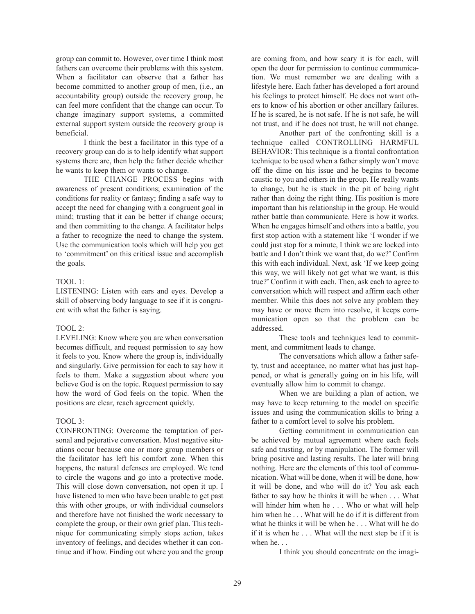group can commit to. However, over time I think most fathers can overcome their problems with this system. When a facilitator can observe that a father has become committed to another group of men, (i.e., an accountability group) outside the recovery group, he can feel more confident that the change can occur. To change imaginary support systems, a committed external support system outside the recovery group is beneficial.

I think the best a facilitator in this type of a recovery group can do is to help identify what support systems there are, then help the father decide whether he wants to keep them or wants to change.

THE CHANGE PROCESS begins with awareness of present conditions; examination of the conditions for reality or fantasy; finding a safe way to accept the need for changing with a congruent goal in mind; trusting that it can be better if change occurs; and then committing to the change. A facilitator helps a father to recognize the need to change the system. Use the communication tools which will help you get to 'commitment' on this critical issue and accomplish the goals.

## TOOL 1:

LISTENING: Listen with ears and eyes. Develop a skill of observing body language to see if it is congruent with what the father is saying.

# TOOL 2:

LEVELING: Know where you are when conversation becomes difficult, and request permission to say how it feels to you. Know where the group is, individually and singularly. Give permission for each to say how it feels to them. Make a suggestion about where you believe God is on the topic. Request permission to say how the word of God feels on the topic. When the positions are clear, reach agreement quickly.

### TOOL 3:

CONFRONTING: Overcome the temptation of personal and pejorative conversation. Most negative situations occur because one or more group members or the facilitator has left his comfort zone. When this happens, the natural defenses are employed. We tend to circle the wagons and go into a protective mode. This will close down conversation, not open it up. I have listened to men who have been unable to get past this with other groups, or with individual counselors and therefore have not finished the work necessary to complete the group, or their own grief plan. This technique for communicating simply stops action, takes inventory of feelings, and decides whether it can continue and if how. Finding out where you and the group are coming from, and how scary it is for each, will open the door for permission to continue communication. We must remember we are dealing with a lifestyle here. Each father has developed a fort around his feelings to protect himself. He does not want others to know of his abortion or other ancillary failures. If he is scared, he is not safe. If he is not safe, he will not trust, and if he does not trust, he will not change.

Another part of the confronting skill is a technique called CONTROLLING HARMFUL BEHAVIOR: This technique is a frontal confrontation technique to be used when a father simply won't move off the dime on his issue and he begins to become caustic to you and others in the group. He really wants to change, but he is stuck in the pit of being right rather than doing the right thing. His position is more important than his relationship in the group. He would rather battle than communicate. Here is how it works. When he engages himself and others into a battle, you first stop action with a statement like 'I wonder if we could just stop for a minute, I think we are locked into battle and I don't think we want that, do we?' Confirm this with each individual. Next, ask 'If we keep going this way, we will likely not get what we want, is this true?' Confirm it with each. Then, ask each to agree to conversation which will respect and affirm each other member. While this does not solve any problem they may have or move them into resolve, it keeps communication open so that the problem can be addressed.

These tools and techniques lead to commitment, and commitment leads to change.

The conversations which allow a father safety, trust and acceptance, no matter what has just happened, or what is generally going on in his life, will eventually allow him to commit to change.

When we are building a plan of action, we may have to keep returning to the model on specific issues and using the communication skills to bring a father to a comfort level to solve his problem.

Getting commitment in communication can be achieved by mutual agreement where each feels safe and trusting, or by manipulation. The former will bring positive and lasting results. The later will bring nothing. Here are the elements of this tool of communication. What will be done, when it will be done, how it will be done, and who will do it? You ask each father to say how he thinks it will be when . . . What will hinder him when he . . . Who or what will help him when he . . . What will he do if it is different from what he thinks it will be when he . . . What will he do if it is when he . . . What will the next step be if it is when he...

I think you should concentrate on the imagi-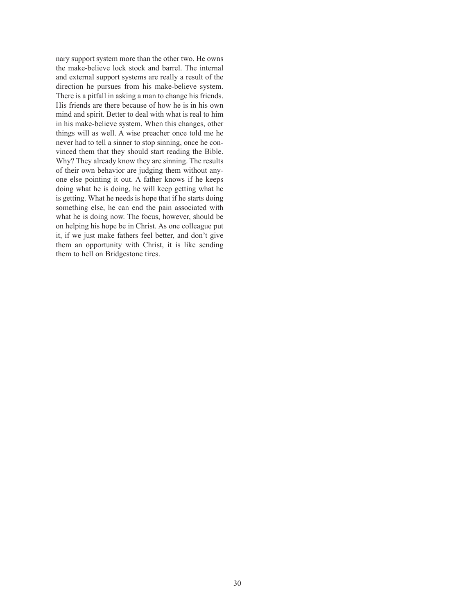nary support system more than the other two. He owns the make-believe lock stock and barrel. The internal and external support systems are really a result of the direction he pursues from his make-believe system. There is a pitfall in asking a man to change his friends. His friends are there because of how he is in his own mind and spirit. Better to deal with what is real to him in his make-believe system. When this changes, other things will as well. A wise preacher once told me he never had to tell a sinner to stop sinning, once he convinced them that they should start reading the Bible. Why? They already know they are sinning. The results of their own behavior are judging them without anyone else pointing it out. A father knows if he keeps doing what he is doing, he will keep getting what he is getting. What he needs is hope that if he starts doing something else, he can end the pain associated with what he is doing now. The focus, however, should be on helping his hope be in Christ. As one colleague put it, if we just make fathers feel better, and don't give them an opportunity with Christ, it is like sending them to hell on Bridgestone tires.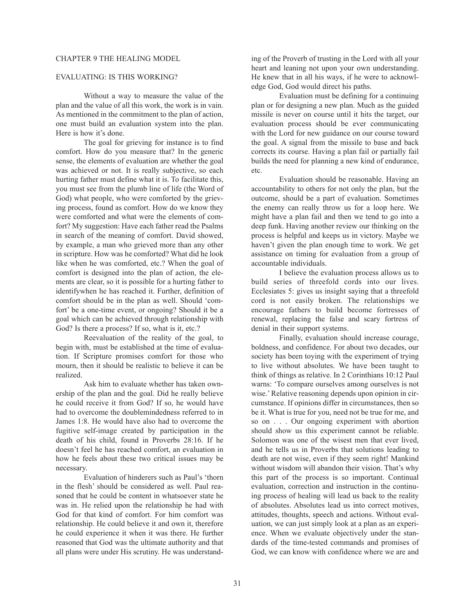#### CHAPTER 9 THE HEALING MODEL

## EVALUATING: IS THIS WORKING?

Without a way to measure the value of the plan and the value of all this work, the work is in vain. As mentioned in the commitment to the plan of action, one must build an evaluation system into the plan. Here is how it's done.

The goal for grieving for instance is to find comfort. How do you measure that? In the generic sense, the elements of evaluation are whether the goal was achieved or not. It is really subjective, so each hurting father must define what it is. To facilitate this, you must see from the plumb line of life (the Word of God) what people, who were comforted by the grieving process, found as comfort. How do we know they were comforted and what were the elements of comfort? My suggestion: Have each father read the Psalms in search of the meaning of comfort. David showed, by example, a man who grieved more than any other in scripture. How was he comforted? What did he look like when he was comforted, etc.? When the goal of comfort is designed into the plan of action, the elements are clear, so it is possible for a hurting father to identifywhen he has reached it. Further, definition of comfort should be in the plan as well. Should 'comfort' be a one-time event, or ongoing? Should it be a goal which can be achieved through relationship with God? Is there a process? If so, what is it, etc.?

Reevaluation of the reality of the goal, to begin with, must be established at the time of evaluation. If Scripture promises comfort for those who mourn, then it should be realistic to believe it can be realized.

Ask him to evaluate whether has taken ownership of the plan and the goal. Did he really believe he could receive it from God? If so, he would have had to overcome the doublemindedness referred to in James 1:8. He would have also had to overcome the fugitive self-image created by participation in the death of his child, found in Proverbs 28:16. If he doesn't feel he has reached comfort, an evaluation in how he feels about these two critical issues may be necessary.

Evaluation of hinderers such as Paul's 'thorn in the flesh' should be considered as well. Paul reasoned that he could be content in whatsoever state he was in. He relied upon the relationship he had with God for that kind of comfort. For him comfort was relationship. He could believe it and own it, therefore he could experience it when it was there. He further reasoned that God was the ultimate authority and that all plans were under His scrutiny. He was understanding of the Proverb of trusting in the Lord with all your heart and leaning not upon your own understanding. He knew that in all his ways, if he were to acknowledge God, God would direct his paths.

Evaluation must be defining for a continuing plan or for designing a new plan. Much as the guided missile is never on course until it hits the target, our evaluation process should be ever communicating with the Lord for new guidance on our course toward the goal. A signal from the missile to base and back corrects its course. Having a plan fail or partially fail builds the need for planning a new kind of endurance, etc.

Evaluation should be reasonable. Having an accountability to others for not only the plan, but the outcome, should be a part of evaluation. Sometimes the enemy can really throw us for a loop here. We might have a plan fail and then we tend to go into a deep funk. Having another review our thinking on the process is helpful and keeps us in victory. Maybe we haven't given the plan enough time to work. We get assistance on timing for evaluation from a group of accountable individuals.

I believe the evaluation process allows us to build series of threefold cords into our lives. Ecclesiates 5: gives us insight saying that a threefold cord is not easily broken. The relationships we encourage fathers to build become fortresses of renewal, replacing the false and scary fortress of denial in their support systems.

Finally, evaluation should increase courage, boldness, and confidence. For about two decades, our society has been toying with the experiment of trying to live without absolutes. We have been taught to think of things as relative. In 2 Corinthians 10:12 Paul warns: 'To compare ourselves among ourselves is not wise.' Relative reasoning depends upon opinion in circumstance. If opinions differ in circumstances, then so be it. What is true for you, need not be true for me, and so on . . . Our ongoing experiment with abortion should show us this experiment cannot be reliable. Solomon was one of the wisest men that ever lived, and he tells us in Proverbs that solutions leading to death are not wise, even if they seem right! Mankind without wisdom will abandon their vision. That's why this part of the process is so important. Continual evaluation, correction and instruction in the continuing process of healing will lead us back to the reality of absolutes. Absolutes lead us into correct motives, attitudes, thoughts, speech and actions. Without evaluation, we can just simply look at a plan as an experience. When we evaluate objectively under the standards of the time-tested commands and promises of God, we can know with confidence where we are and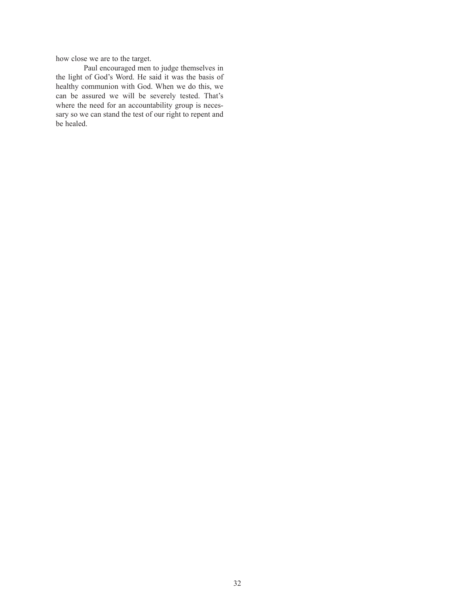how close we are to the target.

Paul encouraged men to judge themselves in the light of God's Word. He said it was the basis of healthy communion with God. When we do this, we can be assured we will be severely tested. That's where the need for an accountability group is necessary so we can stand the test of our right to repent and be healed.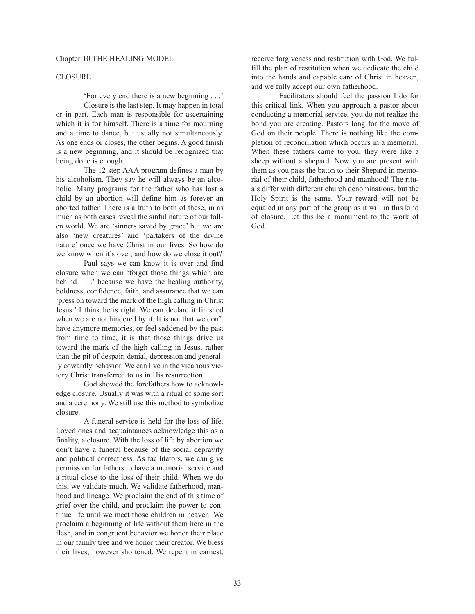## CLOSURE

'For every end there is a new beginning . . .'

Closure is the last step. It may happen in total or in part. Each man is responsible for ascertaining which it is for himself. There is a time for mourning and a time to dance, but usually not simultaneously. As one ends or closes, the other begins. A good finish is a new beginning, and it should be recognized that being done is enough.

The 12 step AAA program defines a man by his alcoholism. They say he will always be an alcoholic. Many programs for the father who has lost a child by an abortion will define him as forever an aborted father. There is a truth to both of these, in as much as both cases reveal the sinful nature of our fallen world. We are 'sinners saved by grace' but we are also 'new creatures' and 'partakers of the divine nature' once we have Christ in our lives. So how do we know when it's over, and how do we close it out?

Paul says we can know it is over and find closure when we can 'forget those things which are behind . . .' because we have the healing authority, boldness, confidence, faith, and assurance that we can 'press on toward the mark of the high calling in Christ Jesus.' I think he is right. We can declare it finished when we are not hindered by it. It is not that we don't have anymore memories, or feel saddened by the past from time to time, it is that those things drive us toward the mark of the high calling in Jesus, rather than the pit of despair, denial, depression and generally cowardly behavior. We can live in the vicarious victory Christ transferred to us in His resurrection.

God showed the forefathers how to acknowledge closure. Usually it was with a ritual of some sort and a ceremony. We still use this method to symbolize closure.

A funeral service is held for the loss of life. Loved ones and acquaintances acknowledge this as a finality, a closure. With the loss of life by abortion we don't have a funeral because of the social depravity and political correctness. As facilitators, we can give permission for fathers to have a memorial service and a ritual close to the loss of their child. When we do this, we validate much. We validate fatherhood, manhood and lineage. We proclaim the end of this time of grief over the child, and proclaim the power to continue life until we meet those children in heaven. We proclaim a beginning of life without them here in the flesh, and in congruent behavior we honor their place in our family tree and we honor their creator. We bless their lives, however shortened. We repent in earnest,

receive forgiveness and restitution with God. We fulfill the plan of restitution when we dedicate the child into the hands and capable care of Christ in heaven, and we fully accept our own fatherhood.

Facilitators should feel the passion I do for this critical link. When you approach a pastor about conducting a memorial service, you do not realize the bond you are creating. Pastors long for the move of God on their people. There is nothing like the completion of reconciliation which occurs in a memorial. When these fathers came to you, they were like a sheep without a shepard. Now you are present with them as you pass the baton to their Shepard in memorial of their child, fatherhood and manhood! The rituals differ with different church denominations, but the Holy Spirit is the same. Your reward will not be equaled in any part of the group as it will in this kind of closure. Let this be a monument to the work of God.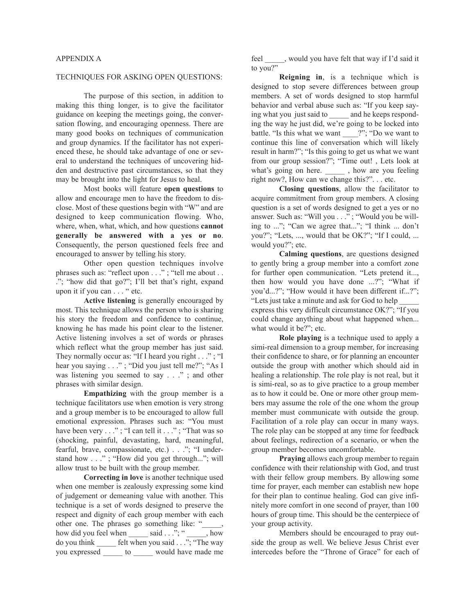## TECHNIQUES FOR ASKING OPEN QUESTIONS:

The purpose of this section, in addition to making this thing longer, is to give the facilitator guidance on keeping the meetings going, the conversation flowing, and encouraging openness. There are many good books on techniques of communication and group dynamics. If the facilitator has not experienced these, he should take advantage of one or several to understand the techniques of uncovering hidden and destructive past circumstances, so that they may be brought into the light for Jesus to heal.

Most books will feature **open questions** to allow and encourage men to have the freedom to disclose. Most of these questions begin with "W" and are designed to keep communication flowing. Who, where, when, what, which, and how questions **cannot generally be answered with a yes or no**. Consequently, the person questioned feels free and encouraged to answer by telling his story.

Other open question techniques involve phrases such as: "reflect upon . . ."; "tell me about . . ."; "how did that go?"; I'll bet that's right, expand upon it if you can . . . " etc.

**Active listening** is generally encouraged by most. This technique allows the person who is sharing his story the freedom and confidence to continue, knowing he has made his point clear to the listener. Active listening involves a set of words or phrases which reflect what the group member has just said. They normally occur as: "If I heard you right . . ."; "I hear you saying . . ." ; "Did you just tell me?"; "As I was listening you seemed to say . . ." ; and other phrases with similar design.

**Empathizing** with the group member is a technique facilitators use when emotion is very strong and a group member is to be encouraged to allow full emotional expression. Phrases such as: "You must have been very . . ." ; "I can tell it . . ." ; "That was so (shocking, painful, devastating, hard, meaningful, fearful, brave, compassionate, etc.) . . ."; "I understand how . . ." ; "How did you get through..."; will allow trust to be built with the group member.

**Correcting in love** is another technique used when one member is zealously expressing some kind of judgement or demeaning value with another. This technique is a set of words designed to preserve the respect and dignity of each group member with each other one. The phrases go something like: "\_\_\_\_\_, how did you feel when \_\_\_\_\_\_ said . . ."; " \_\_\_\_\_, how do you think \_\_\_\_\_ felt when you said . . ."; "The way you expressed \_\_\_\_\_ to \_\_\_\_\_ would have made me

feel \_\_\_\_\_, would you have felt that way if I'd said it to you?"

**Reigning in**, is a technique which is designed to stop severe differences between group members. A set of words designed to stop harmful behavior and verbal abuse such as: "If you keep saying what you just said to and he keeps responding the way he just did, we're going to be locked into battle. "Is this what we want \_\_\_\_?"; "Do we want to continue this line of conversation which will likely result in harm?"; "Is this going to get us what we want from our group session?"; "Time out! , Lets look at what's going on here. \_\_\_\_\_\_ , how are you feeling right now?, How can we change this?". . . etc.

**Closing questions**, allow the facilitator to acquire commitment from group members. A closing question is a set of words designed to get a yes or no answer. Such as: "Will you . . ." ; "Would you be willing to ..."; "Can we agree that..."; "I think ... don't you?"; "Lets, ..., would that be OK?"; "If I could, ... would you?"; etc.

**Calming questions**, are questions designed to gently bring a group member into a comfort zone for further open communication. "Lets pretend it..., then how would you have done ...?"; "What if you'd...?"; "How would it have been different if...?"; "Lets just take a minute and ask for God to help \_\_\_\_\_ express this very difficult circumstance OK?"; "If you could change anything about what happened when... what would it be?"; etc.

**Role playing** is a technique used to apply a simi-real dimension to a group member, for increasing their confidence to share, or for planning an encounter outside the group with another which should aid in healing a relationship. The role play is not real, but it is simi-real, so as to give practice to a group member as to how it could be. One or more other group members may assume the role of the one whom the group member must communicate with outside the group. Facilitation of a role play can occur in many ways. The role play can be stopped at any time for feedback about feelings, redirection of a scenario, or when the group member becomes uncomfortable.

**Praying** allows each group member to regain confidence with their relationship with God, and trust with their fellow group members. By allowing some time for prayer, each member can establish new hope for their plan to continue healing. God can give infinitely more comfort in one second of prayer, than 100 hours of group time. This should be the centerpiece of your group activity.

Members should be encouraged to pray outside the group as well. We believe Jesus Christ ever intercedes before the "Throne of Grace" for each of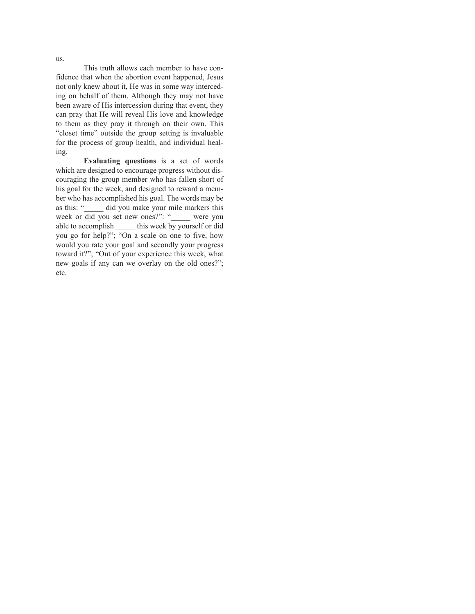This truth allows each member to have confidence that when the abortion event happened, Jesus not only knew about it, He was in some way interceding on behalf of them. Although they may not have been aware of His intercession during that event, they can pray that He will reveal His love and knowledge to them as they pray it through on their own. This "closet time" outside the group setting is invaluable for the process of group health, and individual healing.

**Evaluating questions** is a set of words which are designed to encourage progress without discouraging the group member who has fallen short of his goal for the week, and designed to reward a member who has accomplished his goal. The words may be as this: "\_\_\_\_\_ did you make your mile markers this week or did you set new ones?": "\_\_\_\_\_ were you able to accomplish \_\_\_\_\_ this week by yourself or did you go for help?"; "On a scale on one to five, how would you rate your goal and secondly your progress toward it?"; "Out of your experience this week, what new goals if any can we overlay on the old ones?"; etc.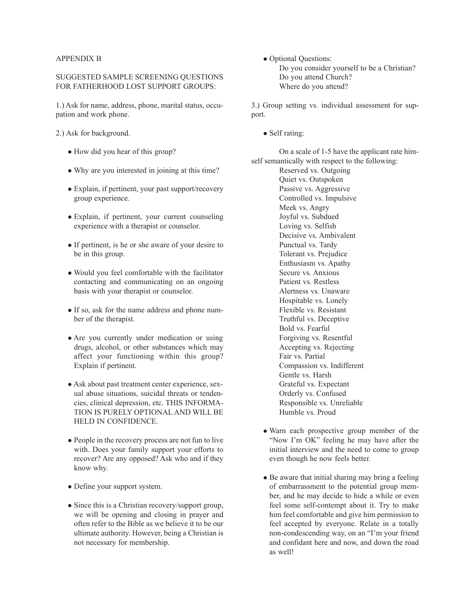## APPENDIX B

## SUGGESTED SAMPLE SCREENING QUESTIONS FOR FATHERHOOD LOST SUPPORT GROUPS:

1.) Ask for name, address, phone, marital status, occupation and work phone.

2.) Ask for background.

- How did you hear of this group?
- Why are you interested in joining at this time?
- $\bullet$  Explain, if pertinent, your past support/recovery group experience.
- Explain, if pertinent, your current counseling experience with a therapist or counselor.
- If pertinent, is he or she aware of your desire to be in this group.
- Would you feel comfortable with the facilitator contacting and communicating on an ongoing basis with your therapist or counselor.
- If so, ask for the name address and phone number of the therapist.
- Are you currently under medication or using drugs, alcohol, or other substances which may affect your functioning within this group? Explain if pertinent.
- Ask about past treatment center experience, sexual abuse situations, suicidal threats or tendencies, clinical depression, etc. THIS INFORMA-TION IS PURELY OPTIONAL AND WILL BE HELD IN CONFIDENCE.
- People in the recovery process are not fun to live with. Does your family support your efforts to recover? Are any opposed? Ask who and if they know why.
- Define your support system.
- $\bullet$  Since this is a Christian recovery/support group, we will be opening and closing in prayer and often refer to the Bible as we believe it to be our ultimate authority. However, being a Christian is not necessary for membership.

• Optional Questions: Do you consider yourself to be a Christian? Do you attend Church? Where do you attend?

3.) Group setting vs. individual assessment for support.

 $\bullet$  Self rating:

On a scale of 1-5 have the applicant rate himself semantically with respect to the following:

Reserved vs. Outgoing Quiet vs. Outspoken Passive vs. Aggressive Controlled vs. Impulsive Meek vs. Angry Joyful vs. Subdued Loving vs. Selfish Decisive vs. Ambivalent Punctual vs. Tardy Tolerant vs. Prejudice Enthusiasm vs. Apathy Secure vs. Anxious Patient vs. Restless Alertness vs. Unaware Hospitable vs. Lonely Flexible vs. Resistant Truthful vs. Deceptive Bold vs. Fearful Forgiving vs. Resentful Accepting vs. Rejecting Fair vs. Partial Compassion vs. Indifferent Gentle vs. Harsh Grateful vs. Expectant Orderly vs. Confused Responsible vs. Unreliable Humble vs. Proud

- Warn each prospective group member of the "Now I'm OK" feeling he may have after the initial interview and the need to come to group even though he now feels better.
- Be aware that initial sharing may bring a feeling of embarrassment to the potential group member, and he may decide to hide a while or even feel some self-contempt about it. Try to make him feel comfortable and give him permission to feel accepted by everyone. Relate in a totally non-condescending way, on an "I'm your friend and confidant here and now, and down the road as well!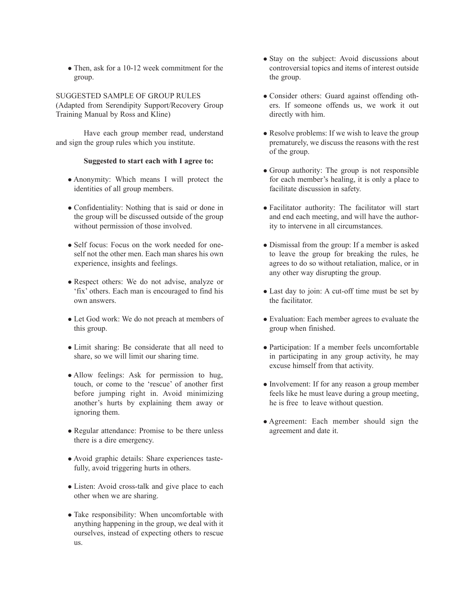• Then, ask for a 10-12 week commitment for the group.

SUGGESTED SAMPLE OF GROUP RULES (Adapted from Serendipity Support/Recovery Group Training Manual by Ross and Kline)

Have each group member read, understand and sign the group rules which you institute.

## **Suggested to start each with I agree to:**

- Anonymity: Which means I will protect the identities of all group members.
- Confidentiality: Nothing that is said or done in the group will be discussed outside of the group without permission of those involved.
- Self focus: Focus on the work needed for oneself not the other men. Each man shares his own experience, insights and feelings.
- Respect others: We do not advise, analyze or 'fix' others. Each man is encouraged to find his own answers.
- Let God work: We do not preach at members of this group.
- Limit sharing: Be considerate that all need to share, so we will limit our sharing time.
- Allow feelings: Ask for permission to hug, touch, or come to the 'rescue' of another first before jumping right in. Avoid minimizing another's hurts by explaining them away or ignoring them.
- Regular attendance: Promise to be there unless there is a dire emergency.
- Avoid graphic details: Share experiences tastefully, avoid triggering hurts in others.
- Listen: Avoid cross-talk and give place to each other when we are sharing.
- Take responsibility: When uncomfortable with anything happening in the group, we deal with it ourselves, instead of expecting others to rescue us.
- Stay on the subject: Avoid discussions about controversial topics and items of interest outside the group.
- Consider others: Guard against offending others. If someone offends us, we work it out directly with him.
- $\bullet$  Resolve problems: If we wish to leave the group prematurely, we discuss the reasons with the rest of the group.
- Group authority: The group is not responsible for each member's healing, it is only a place to facilitate discussion in safety.
- Facilitator authority: The facilitator will start and end each meeting, and will have the authority to intervene in all circumstances.
- Dismissal from the group: If a member is asked to leave the group for breaking the rules, he agrees to do so without retaliation, malice, or in any other way disrupting the group.
- Last day to join: A cut-off time must be set by the facilitator.
- Evaluation: Each member agrees to evaluate the group when finished.
- Participation: If a member feels uncomfortable in participating in any group activity, he may excuse himself from that activity.
- Involvement: If for any reason a group member feels like he must leave during a group meeting, he is free to leave without question.
- Agreement: Each member should sign the agreement and date it.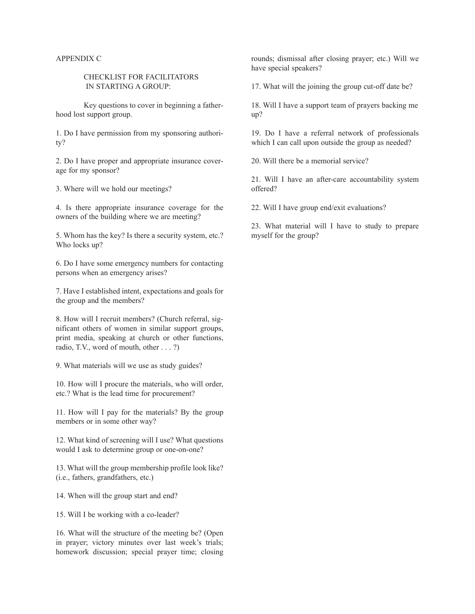### APPENDIX C

## CHECKLIST FOR FACILITATORS IN STARTING A GROUP:

Key questions to cover in beginning a fatherhood lost support group.

1. Do I have permission from my sponsoring authority?

2. Do I have proper and appropriate insurance coverage for my sponsor?

3. Where will we hold our meetings?

4. Is there appropriate insurance coverage for the owners of the building where we are meeting?

5. Whom has the key? Is there a security system, etc.? Who locks up?

6. Do I have some emergency numbers for contacting persons when an emergency arises?

7. Have I established intent, expectations and goals for the group and the members?

8. How will I recruit members? (Church referral, significant others of women in similar support groups, print media, speaking at church or other functions, radio, T.V., word of mouth, other . . . ?)

9. What materials will we use as study guides?

10. How will I procure the materials, who will order, etc.? What is the lead time for procurement?

11. How will I pay for the materials? By the group members or in some other way?

12. What kind of screening will I use? What questions would I ask to determine group or one-on-one?

13. What will the group membership profile look like? (i.e., fathers, grandfathers, etc.)

14. When will the group start and end?

15. Will I be working with a co-leader?

16. What will the structure of the meeting be? (Open in prayer; victory minutes over last week's trials; homework discussion; special prayer time; closing rounds; dismissal after closing prayer; etc.) Will we have special speakers?

17. What will the joining the group cut-off date be?

18. Will I have a support team of prayers backing me up?

19. Do I have a referral network of professionals which I can call upon outside the group as needed?

20. Will there be a memorial service?

21. Will I have an after-care accountability system offered?

22. Will I have group end/exit evaluations?

23. What material will I have to study to prepare myself for the group?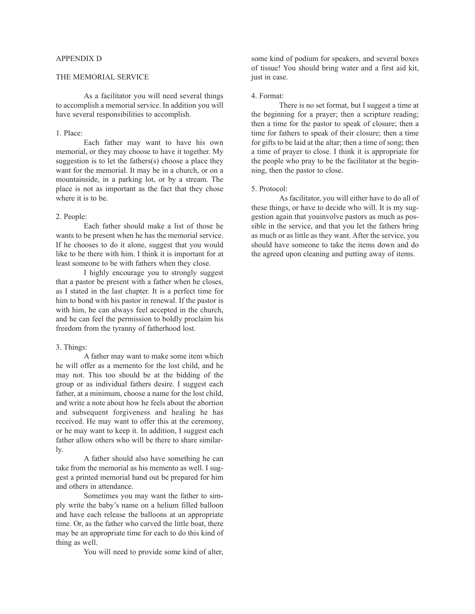### APPENDIX D

## THE MEMORIAL SERVICE

As a facilitator you will need several things to accomplish a memorial service. In addition you will have several responsibilities to accomplish.

#### 1. Place:

Each father may want to have his own memorial, or they may choose to have it together. My suggestion is to let the fathers(s) choose a place they want for the memorial. It may be in a church, or on a mountainside, in a parking lot, or by a stream. The place is not as important as the fact that they chose where it is to be.

#### 2. People:

Each father should make a list of those he wants to be present when he has the memorial service. If he chooses to do it alone, suggest that you would like to be there with him. I think it is important for at least someone to be with fathers when they close.

I highly encourage you to strongly suggest that a pastor be present with a father when he closes, as I stated in the last chapter. It is a perfect time for him to bond with his pastor in renewal. If the pastor is with him, he can always feel accepted in the church, and he can feel the permission to boldly proclaim his freedom from the tyranny of fatherhood lost.

### 3. Things:

A father may want to make some item which he will offer as a memento for the lost child, and he may not. This too should be at the bidding of the group or as individual fathers desire. I suggest each father, at a minimum, choose a name for the lost child, and write a note about how he feels about the abortion and subsequent forgiveness and healing he has received. He may want to offer this at the ceremony, or he may want to keep it. In addition, I suggest each father allow others who will be there to share similarly.

A father should also have something he can take from the memorial as his memento as well. I suggest a printed memorial hand out be prepared for him and others in attendance.

Sometimes you may want the father to simply write the baby's name on a helium filled balloon and have each release the balloons at an appropriate time. Or, as the father who carved the little boat, there may be an appropriate time for each to do this kind of thing as well.

You will need to provide some kind of alter,

some kind of podium for speakers, and several boxes of tissue! You should bring water and a first aid kit, just in case.

#### 4. Format:

There is no set format, but I suggest a time at the beginning for a prayer; then a scripture reading; then a time for the pastor to speak of closure; then a time for fathers to speak of their closure; then a time for gifts to be laid at the altar; then a time of song; then a time of prayer to close. I think it is appropriate for the people who pray to be the facilitator at the beginning, then the pastor to close.

#### 5. Protocol:

As facilitator, you will either have to do all of these things, or have to decide who will. It is my suggestion again that youinvolve pastors as much as possible in the service, and that you let the fathers bring as much or as little as they want. After the service, you should have someone to take the items down and do the agreed upon cleaning and putting away of items.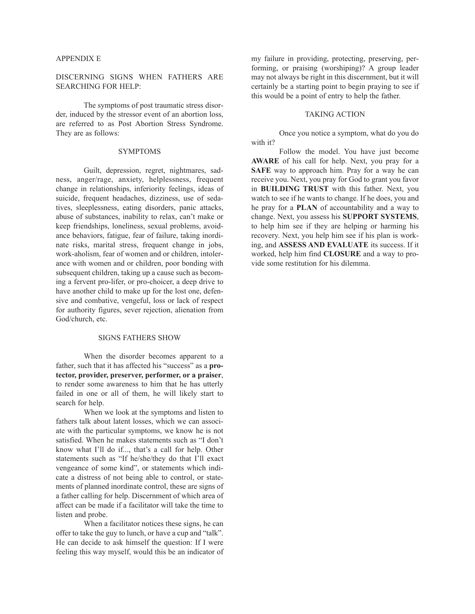#### APPENDIX E

# DISCERNING SIGNS WHEN FATHERS ARE SEARCHING FOR HELP:

The symptoms of post traumatic stress disorder, induced by the stressor event of an abortion loss, are referred to as Post Abortion Stress Syndrome. They are as follows:

#### SYMPTOMS

Guilt, depression, regret, nightmares, sadness, anger/rage, anxiety, helplessness, frequent change in relationships, inferiority feelings, ideas of suicide, frequent headaches, dizziness, use of sedatives, sleeplessness, eating disorders, panic attacks, abuse of substances, inability to relax, can't make or keep friendships, loneliness, sexual problems, avoidance behaviors, fatigue, fear of failure, taking inordinate risks, marital stress, frequent change in jobs, work-aholism, fear of women and or children, intolerance with women and or children, poor bonding with subsequent children, taking up a cause such as becoming a fervent pro-lifer, or pro-choicer, a deep drive to have another child to make up for the lost one, defensive and combative, vengeful, loss or lack of respect for authority figures, sever rejection, alienation from God/church, etc.

### SIGNS FATHERS SHOW

When the disorder becomes apparent to a father, such that it has affected his "success" as a **protector, provider, preserver, performer, or a praiser**, to render some awareness to him that he has utterly failed in one or all of them, he will likely start to search for help.

When we look at the symptoms and listen to fathers talk about latent losses, which we can associate with the particular symptoms, we know he is not satisfied. When he makes statements such as "I don't know what I'll do if..., that's a call for help. Other statements such as "If he/she/they do that I'll exact vengeance of some kind", or statements which indicate a distress of not being able to control, or statements of planned inordinate control, these are signs of a father calling for help. Discernment of which area of affect can be made if a facilitator will take the time to listen and probe.

When a facilitator notices these signs, he can offer to take the guy to lunch, or have a cup and "talk". He can decide to ask himself the question: If I were feeling this way myself, would this be an indicator of

my failure in providing, protecting, preserving, performing, or praising (worshiping)? A group leader may not always be right in this discernment, but it will certainly be a starting point to begin praying to see if this would be a point of entry to help the father.

#### TAKING ACTION

Once you notice a symptom, what do you do with it?

Follow the model. You have just become **AWARE** of his call for help. Next, you pray for a **SAFE** way to approach him. Pray for a way he can receive you. Next, you pray for God to grant you favor in **BUILDING TRUST** with this father. Next, you watch to see if he wants to change. If he does, you and he pray for a **PLAN** of accountability and a way to change. Next, you assess his **SUPPORT SYSTEMS**, to help him see if they are helping or harming his recovery. Next, you help him see if his plan is working, and **ASSESS AND EVALUATE** its success. If it worked, help him find **CLOSURE** and a way to provide some restitution for his dilemma.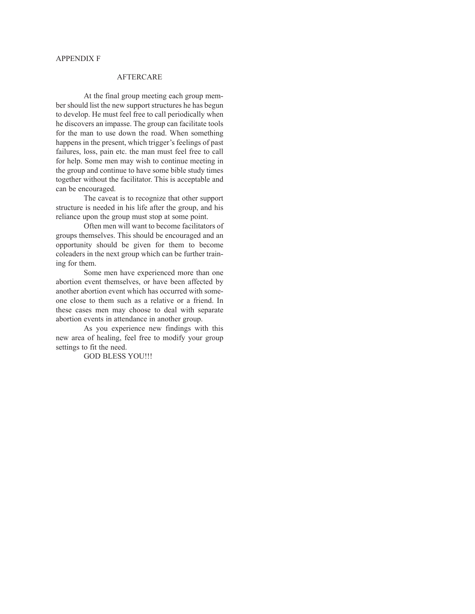# AFTERCARE

At the final group meeting each group member should list the new support structures he has begun to develop. He must feel free to call periodically when he discovers an impasse. The group can facilitate tools for the man to use down the road. When something happens in the present, which trigger's feelings of past failures, loss, pain etc. the man must feel free to call for help. Some men may wish to continue meeting in the group and continue to have some bible study times together without the facilitator. This is acceptable and can be encouraged.

The caveat is to recognize that other support structure is needed in his life after the group, and his reliance upon the group must stop at some point.

Often men will want to become facilitators of groups themselves. This should be encouraged and an opportunity should be given for them to become coleaders in the next group which can be further training for them.

Some men have experienced more than one abortion event themselves, or have been affected by another abortion event which has occurred with someone close to them such as a relative or a friend. In these cases men may choose to deal with separate abortion events in attendance in another group.

As you experience new findings with this new area of healing, feel free to modify your group settings to fit the need.

GOD BLESS YOU!!!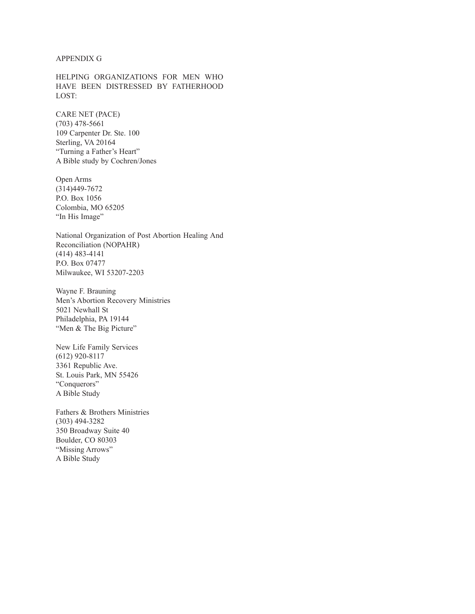#### APPENDIX G

HELPING ORGANIZATIONS FOR MEN WHO HAVE BEEN DISTRESSED BY FATHERHOOD LOST:

CARE NET (PACE) (703) 478-5661 109 Carpenter Dr. Ste. 100 Sterling, VA 20164 "Turning a Father's Heart" A Bible study by Cochren/Jones

Open Arms (314)449-7672 P.O. Box 1056 Colombia, MO 65205 "In His Image"

National Organization of Post Abortion Healing And Reconciliation (NOPAHR) (414) 483-4141 P.O. Box 07477 Milwaukee, WI 53207-2203

Wayne F. Brauning Men's Abortion Recovery Ministries 5021 Newhall St Philadelphia, PA 19144 "Men & The Big Picture"

New Life Family Services (612) 920-8117 3361 Republic Ave. St. Louis Park, MN 55426 "Conquerors" A Bible Study

Fathers & Brothers Ministries (303) 494-3282 350 Broadway Suite 40 Boulder, CO 80303 "Missing Arrows" A Bible Study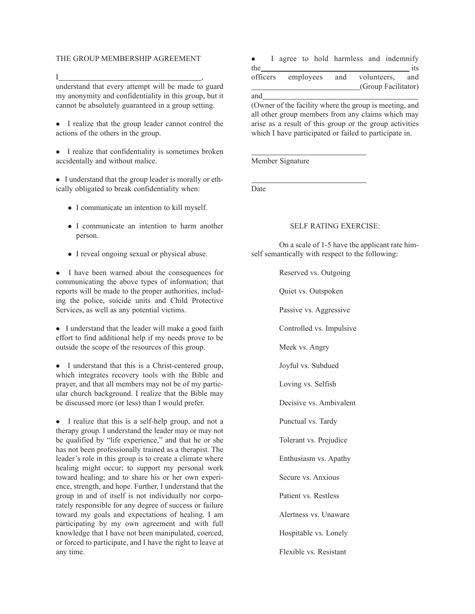#### THE GROUP MEMBERSHIP AGREEMENT

I ,

understand that every attempt will be made to guard my anonymity and confidentiality in this group, but it cannot be absolutely guaranteed in a group setting.

- I realize that the group leader cannot control the actions of the others in the group.
- $\bullet$  I realize that confidentiality is sometimes broken accidentally and without malice.

• I understand that the group leader is morally or ethically obligated to break confidentiality when:

- I communicate an intention to kill myself.
- I communicate an intention to harm another person.
- I reveal ongoing sexual or physical abuse.

• I have been warned about the consequences for communicating the above types of information; that reports will be made to the proper authorities, including the police, suicide units and Child Protective Services, as well as any potential victims.

• I understand that the leader will make a good faith effort to find additional help if my needs prove to be outside the scope of the resources of this group.

• I understand that this is a Christ-centered group, which integrates recovery tools with the Bible and prayer, and that all members may not be of my particular church background. I realize that the Bible may be discussed more (or less) than I would prefer.

• I realize that this is a self-help group, and not a therapy group. I understand the leader may or may not be qualified by "life experience," and that he or she has not been professionally trained as a therapist. The leader's role in this group is to create a climate where healing might occur; to support my personal work toward healing; and to share his or her own experience, strength, and hope. Further, I understand that the group in and of itself is not individually nor corporately responsible for any degree of success or failure toward my goals and expectations of healing. I am participating by my own agreement and with full knowledge that I have not been manipulated, coerced, or forced to participate, and I have the right to leave at any time.

| $\bullet$ |  |                                        |  |  | I agree to hold harmless and indemnify |                     |  |     |
|-----------|--|----------------------------------------|--|--|----------------------------------------|---------------------|--|-----|
| the       |  |                                        |  |  |                                        |                     |  | its |
|           |  | officers employees and volunteers, and |  |  |                                        |                     |  |     |
|           |  |                                        |  |  |                                        | (Group Facilitator) |  |     |

and

(Owner of the facility where the group is meeting, and all other group members from any claims which may arise as a result of this group or the group activities which I have participated or failed to participate in.

Member Signature

Date

## SELF RATING EXERCISE:

On a scale of 1-5 have the applicant rate himself semantically with respect to the following:

Reserved vs. Outgoing

Quiet vs. Outspoken

Passive vs. Aggressive

Controlled vs. Impulsive

Meek vs. Angry

Joyful vs. Subdued

Loving vs. Selfish

Decisive vs. Ambivalent

Punctual vs. Tardy

Tolerant vs. Prejudice

Enthusiasm vs. Apathy

Secure vs. Anxious

Patient vs. Restless

Alertness vs. Unaware

Hospitable vs. Lonely

Flexible vs. Resistant